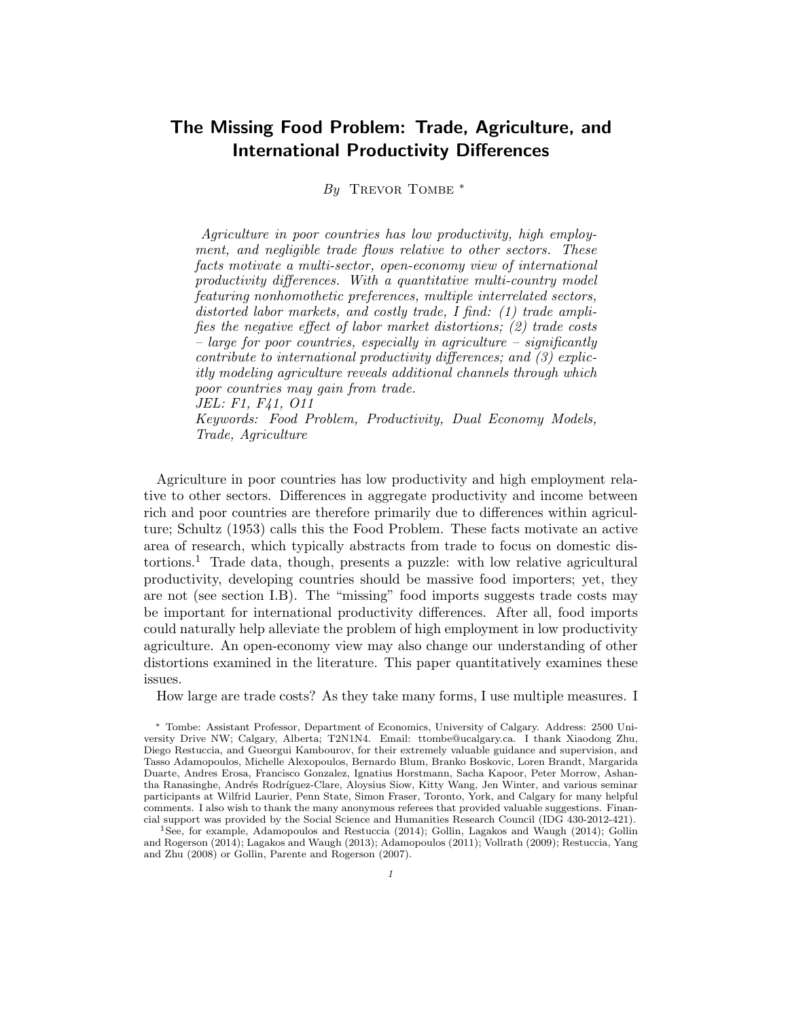# The Missing Food Problem: Trade, Agriculture, and International Productivity Differences

By TREVOR TOMBE \*

Agriculture in poor countries has low productivity, high employment, and negligible trade flows relative to other sectors. These facts motivate a multi-sector, open-economy view of international productivity differences. With a quantitative multi-country model featuring nonhomothetic preferences, multiple interrelated sectors, distorted labor markets, and costly trade, I find: (1) trade amplifies the negative effect of labor market distortions; (2) trade costs – large for poor countries, especially in agriculture – significantly contribute to international productivity differences; and (3) explicitly modeling agriculture reveals additional channels through which poor countries may gain from trade. JEL: F1, F41, O11

Keywords: Food Problem, Productivity, Dual Economy Models, Trade, Agriculture

Agriculture in poor countries has low productivity and high employment relative to other sectors. Differences in aggregate productivity and income between rich and poor countries are therefore primarily due to differences within agriculture; Schultz (1953) calls this the Food Problem. These facts motivate an active area of research, which typically abstracts from trade to focus on domestic distortions.<sup>1</sup> Trade data, though, presents a puzzle: with low relative agricultural productivity, developing countries should be massive food importers; yet, they are not (see section I.B). The "missing" food imports suggests trade costs may be important for international productivity differences. After all, food imports could naturally help alleviate the problem of high employment in low productivity agriculture. An open-economy view may also change our understanding of other distortions examined in the literature. This paper quantitatively examines these issues.

How large are trade costs? As they take many forms, I use multiple measures. I

<sup>1</sup>See, for example, Adamopoulos and Restuccia (2014); Gollin, Lagakos and Waugh (2014); Gollin and Rogerson (2014); Lagakos and Waugh (2013); Adamopoulos (2011); Vollrath (2009); Restuccia, Yang and Zhu (2008) or Gollin, Parente and Rogerson (2007).

<sup>∗</sup> Tombe: Assistant Professor, Department of Economics, University of Calgary. Address: 2500 University Drive NW; Calgary, Alberta; T2N1N4. Email: ttombe@ucalgary.ca. I thank Xiaodong Zhu, Diego Restuccia, and Gueorgui Kambourov, for their extremely valuable guidance and supervision, and Tasso Adamopoulos, Michelle Alexopoulos, Bernardo Blum, Branko Boskovic, Loren Brandt, Margarida Duarte, Andres Erosa, Francisco Gonzalez, Ignatius Horstmann, Sacha Kapoor, Peter Morrow, Ashantha Ranasinghe, Andrés Rodríguez-Clare, Aloysius Siow, Kitty Wang, Jen Winter, and various seminar participants at Wilfrid Laurier, Penn State, Simon Fraser, Toronto, York, and Calgary for many helpful comments. I also wish to thank the many anonymous referees that provided valuable suggestions. Financial support was provided by the Social Science and Humanities Research Council (IDG 430-2012-421).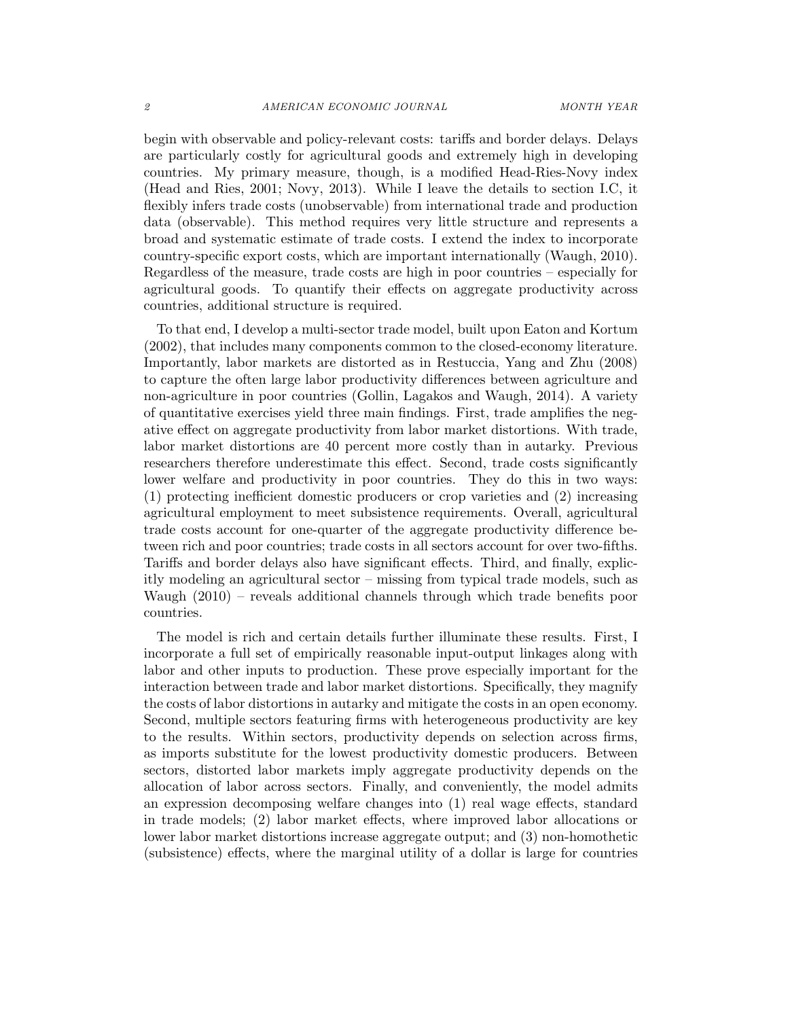begin with observable and policy-relevant costs: tariffs and border delays. Delays are particularly costly for agricultural goods and extremely high in developing countries. My primary measure, though, is a modified Head-Ries-Novy index (Head and Ries, 2001; Novy, 2013). While I leave the details to section I.C, it flexibly infers trade costs (unobservable) from international trade and production data (observable). This method requires very little structure and represents a broad and systematic estimate of trade costs. I extend the index to incorporate country-specific export costs, which are important internationally (Waugh, 2010). Regardless of the measure, trade costs are high in poor countries – especially for agricultural goods. To quantify their effects on aggregate productivity across countries, additional structure is required.

To that end, I develop a multi-sector trade model, built upon Eaton and Kortum (2002), that includes many components common to the closed-economy literature. Importantly, labor markets are distorted as in Restuccia, Yang and Zhu (2008) to capture the often large labor productivity differences between agriculture and non-agriculture in poor countries (Gollin, Lagakos and Waugh, 2014). A variety of quantitative exercises yield three main findings. First, trade amplifies the negative effect on aggregate productivity from labor market distortions. With trade, labor market distortions are 40 percent more costly than in autarky. Previous researchers therefore underestimate this effect. Second, trade costs significantly lower welfare and productivity in poor countries. They do this in two ways: (1) protecting inefficient domestic producers or crop varieties and (2) increasing agricultural employment to meet subsistence requirements. Overall, agricultural trade costs account for one-quarter of the aggregate productivity difference between rich and poor countries; trade costs in all sectors account for over two-fifths. Tariffs and border delays also have significant effects. Third, and finally, explicitly modeling an agricultural sector – missing from typical trade models, such as Waugh (2010) – reveals additional channels through which trade benefits poor countries.

The model is rich and certain details further illuminate these results. First, I incorporate a full set of empirically reasonable input-output linkages along with labor and other inputs to production. These prove especially important for the interaction between trade and labor market distortions. Specifically, they magnify the costs of labor distortions in autarky and mitigate the costs in an open economy. Second, multiple sectors featuring firms with heterogeneous productivity are key to the results. Within sectors, productivity depends on selection across firms, as imports substitute for the lowest productivity domestic producers. Between sectors, distorted labor markets imply aggregate productivity depends on the allocation of labor across sectors. Finally, and conveniently, the model admits an expression decomposing welfare changes into (1) real wage effects, standard in trade models; (2) labor market effects, where improved labor allocations or lower labor market distortions increase aggregate output; and (3) non-homothetic (subsistence) effects, where the marginal utility of a dollar is large for countries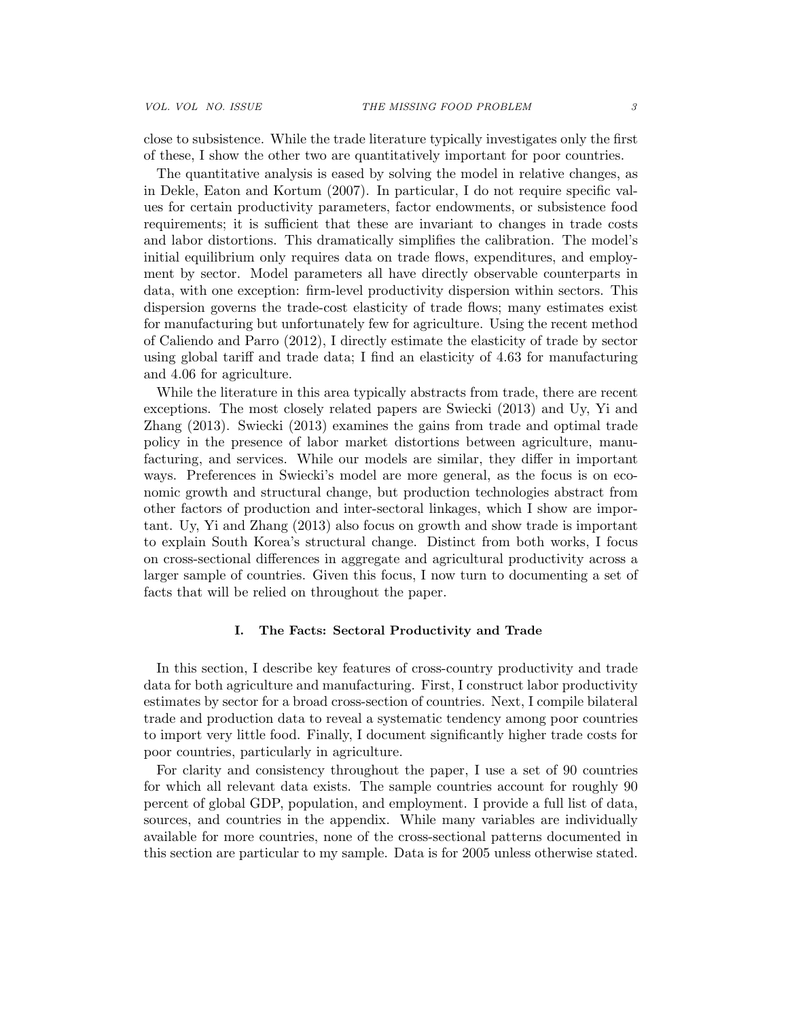close to subsistence. While the trade literature typically investigates only the first of these, I show the other two are quantitatively important for poor countries.

The quantitative analysis is eased by solving the model in relative changes, as in Dekle, Eaton and Kortum (2007). In particular, I do not require specific values for certain productivity parameters, factor endowments, or subsistence food requirements; it is sufficient that these are invariant to changes in trade costs and labor distortions. This dramatically simplifies the calibration. The model's initial equilibrium only requires data on trade flows, expenditures, and employment by sector. Model parameters all have directly observable counterparts in data, with one exception: firm-level productivity dispersion within sectors. This dispersion governs the trade-cost elasticity of trade flows; many estimates exist for manufacturing but unfortunately few for agriculture. Using the recent method of Caliendo and Parro (2012), I directly estimate the elasticity of trade by sector using global tariff and trade data; I find an elasticity of 4.63 for manufacturing and 4.06 for agriculture.

While the literature in this area typically abstracts from trade, there are recent exceptions. The most closely related papers are Swiecki (2013) and Uy, Yi and Zhang (2013). Swiecki (2013) examines the gains from trade and optimal trade policy in the presence of labor market distortions between agriculture, manufacturing, and services. While our models are similar, they differ in important ways. Preferences in Swiecki's model are more general, as the focus is on economic growth and structural change, but production technologies abstract from other factors of production and inter-sectoral linkages, which I show are important. Uy, Yi and Zhang (2013) also focus on growth and show trade is important to explain South Korea's structural change. Distinct from both works, I focus on cross-sectional differences in aggregate and agricultural productivity across a larger sample of countries. Given this focus, I now turn to documenting a set of facts that will be relied on throughout the paper.

#### I. The Facts: Sectoral Productivity and Trade

In this section, I describe key features of cross-country productivity and trade data for both agriculture and manufacturing. First, I construct labor productivity estimates by sector for a broad cross-section of countries. Next, I compile bilateral trade and production data to reveal a systematic tendency among poor countries to import very little food. Finally, I document significantly higher trade costs for poor countries, particularly in agriculture.

For clarity and consistency throughout the paper, I use a set of 90 countries for which all relevant data exists. The sample countries account for roughly 90 percent of global GDP, population, and employment. I provide a full list of data, sources, and countries in the appendix. While many variables are individually available for more countries, none of the cross-sectional patterns documented in this section are particular to my sample. Data is for 2005 unless otherwise stated.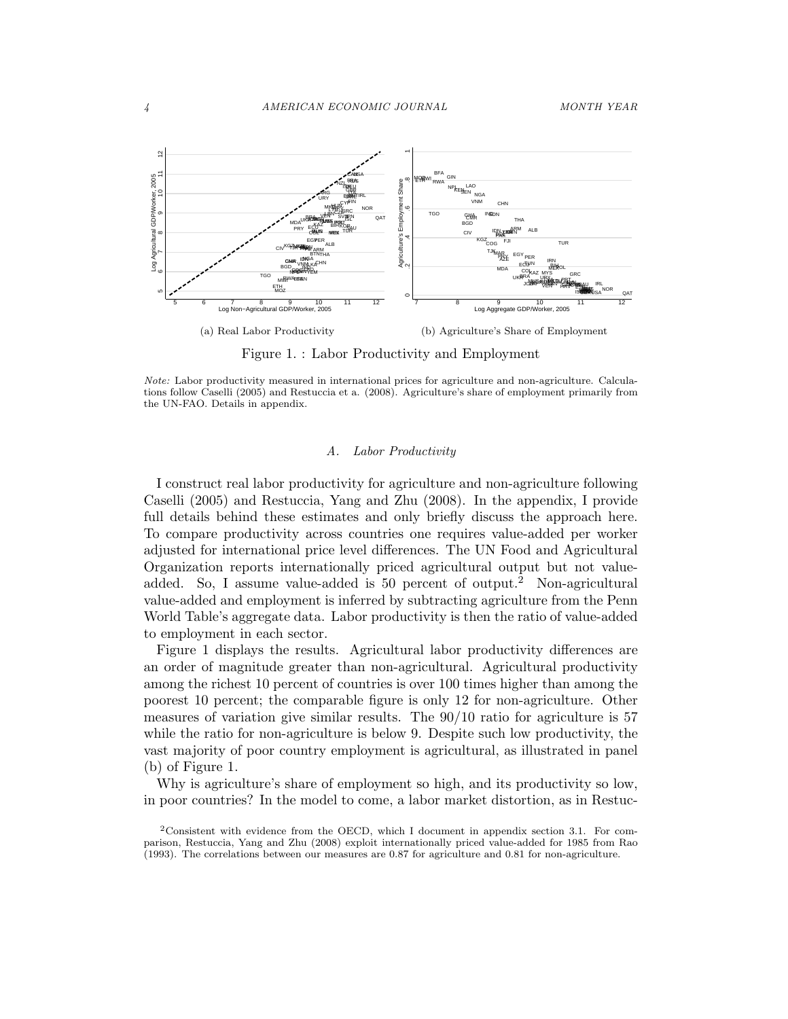

Figure 1. : Labor Productivity and Employment

#### A. Labor Productivity

I construct real labor productivity for agriculture and non-agriculture following Caselli (2005) and Restuccia, Yang and Zhu (2008). In the appendix, I provide full details behind these estimates and only briefly discuss the approach here. To compare productivity across countries one requires value-added per worker adjusted for international price level differences. The UN Food and Agricultural Organization reports internationally priced agricultural output but not valueadded. So, I assume value-added is 50 percent of output.<sup>2</sup> Non-agricultural value-added and employment is inferred by subtracting agriculture from the Penn World Table's aggregate data. Labor productivity is then the ratio of value-added to employment in each sector.

Figure 1 displays the results. Agricultural labor productivity differences are an order of magnitude greater than non-agricultural. Agricultural productivity among the richest 10 percent of countries is over 100 times higher than among the poorest 10 percent; the comparable figure is only 12 for non-agriculture. Other measures of variation give similar results. The 90/10 ratio for agriculture is 57 while the ratio for non-agriculture is below 9. Despite such low productivity, the vast majority of poor country employment is agricultural, as illustrated in panel (b) of Figure 1.

Why is agriculture's share of employment so high, and its productivity so low, in poor countries? In the model to come, a labor market distortion, as in Restuc-

Note: Labor productivity measured in international prices for agriculture and non-agriculture. Calculations follow Caselli (2005) and Restuccia et a. (2008). Agriculture's share of employment primarily from the UN-FAO. Details in appendix.

<sup>2</sup>Consistent with evidence from the OECD, which I document in appendix section 3.1. For comparison, Restuccia, Yang and Zhu (2008) exploit internationally priced value-added for 1985 from Rao (1993). The correlations between our measures are 0.87 for agriculture and 0.81 for non-agriculture.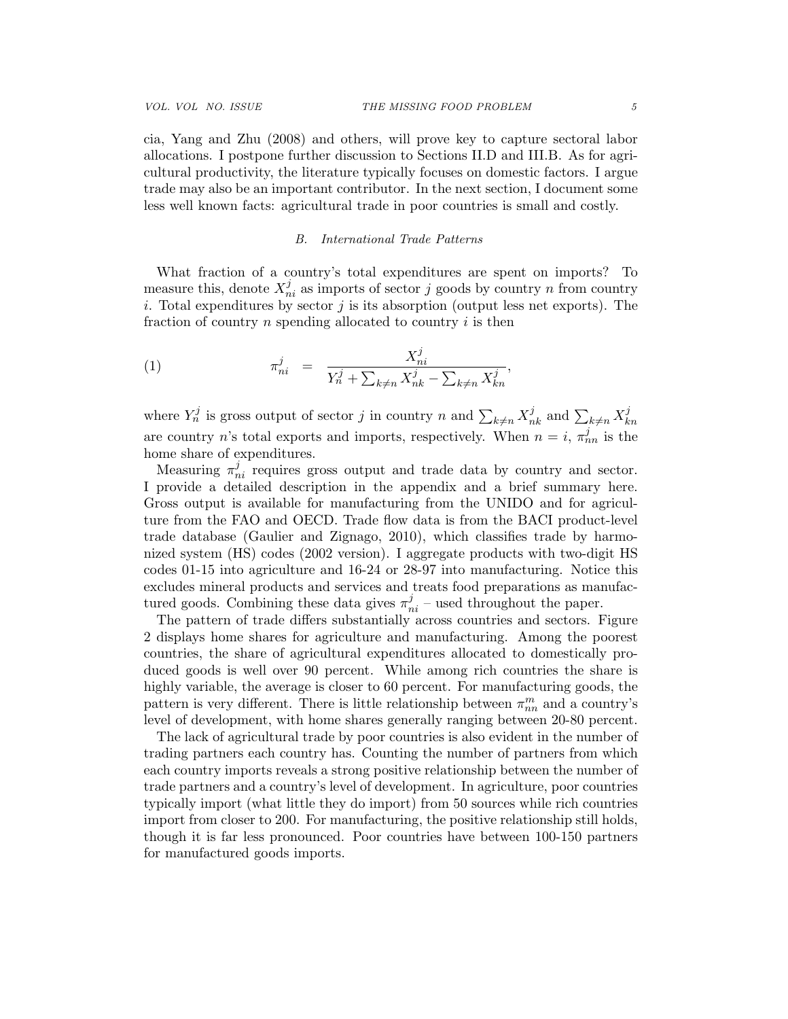cia, Yang and Zhu (2008) and others, will prove key to capture sectoral labor allocations. I postpone further discussion to Sections II.D and III.B. As for agricultural productivity, the literature typically focuses on domestic factors. I argue trade may also be an important contributor. In the next section, I document some less well known facts: agricultural trade in poor countries is small and costly.

## B. International Trade Patterns

What fraction of a country's total expenditures are spent on imports? To measure this, denote  $X_{ni}^j$  as imports of sector j goods by country n from country i. Total expenditures by sector  $j$  is its absorption (output less net exports). The fraction of country n spending allocated to country i is then

(1) 
$$
\pi_{ni}^j = \frac{X_{ni}^j}{Y_n^j + \sum_{k \neq n} X_{nk}^j - \sum_{k \neq n} X_{kn}^j},
$$

where  $Y_n^j$  is gross output of sector j in country n and  $\sum_{k\neq n} X_{nk}^j$  and  $\sum_{k\neq n} X_k^j$ kn are country n's total exports and imports, respectively. When  $n = i$ ,  $\pi_{nn}^{j}$  is the home share of expenditures.

Measuring  $\pi_{ni}^j$  requires gross output and trade data by country and sector. I provide a detailed description in the appendix and a brief summary here. Gross output is available for manufacturing from the UNIDO and for agriculture from the FAO and OECD. Trade flow data is from the BACI product-level trade database (Gaulier and Zignago, 2010), which classifies trade by harmonized system (HS) codes (2002 version). I aggregate products with two-digit HS codes 01-15 into agriculture and 16-24 or 28-97 into manufacturing. Notice this excludes mineral products and services and treats food preparations as manufactured goods. Combining these data gives  $\pi_{ni}^j$  – used throughout the paper.

The pattern of trade differs substantially across countries and sectors. Figure 2 displays home shares for agriculture and manufacturing. Among the poorest countries, the share of agricultural expenditures allocated to domestically produced goods is well over 90 percent. While among rich countries the share is highly variable, the average is closer to 60 percent. For manufacturing goods, the pattern is very different. There is little relationship between  $\pi_{nn}^m$  and a country's level of development, with home shares generally ranging between 20-80 percent.

The lack of agricultural trade by poor countries is also evident in the number of trading partners each country has. Counting the number of partners from which each country imports reveals a strong positive relationship between the number of trade partners and a country's level of development. In agriculture, poor countries typically import (what little they do import) from 50 sources while rich countries import from closer to 200. For manufacturing, the positive relationship still holds, though it is far less pronounced. Poor countries have between 100-150 partners for manufactured goods imports.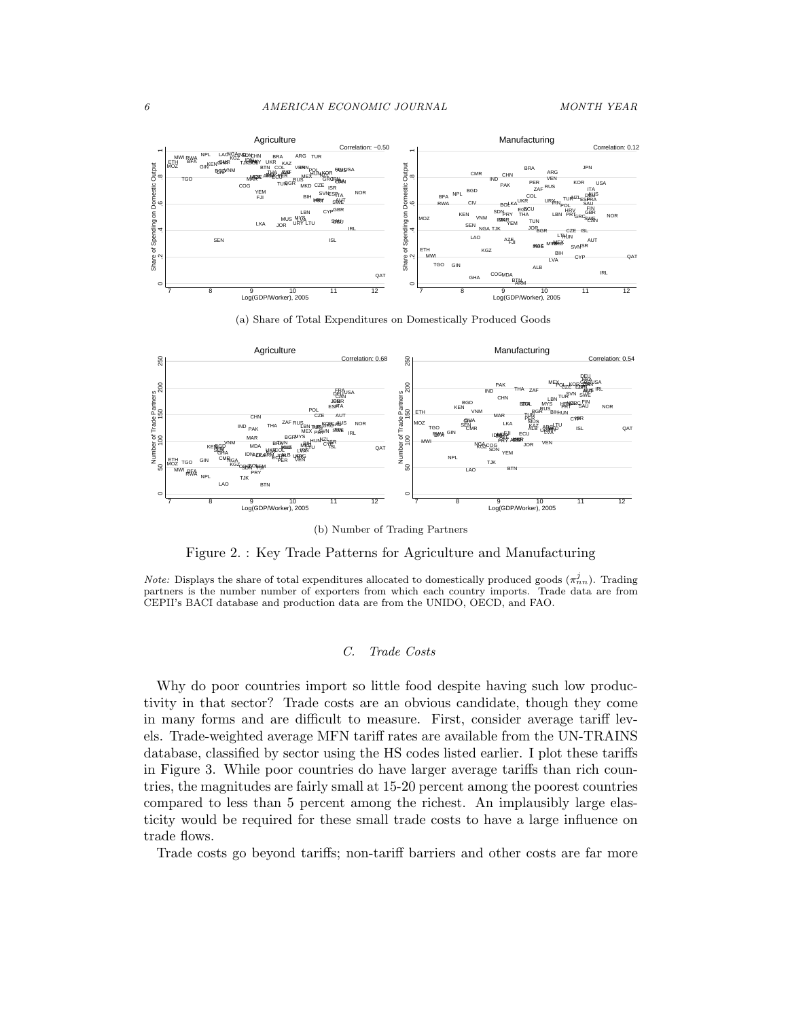

(a) Share of Total Expenditures on Domestically Produced Goods



(b) Number of Trading Partners

Figure 2. : Key Trade Patterns for Agriculture and Manufacturing

*Note:* Displays the share of total expenditures allocated to domestically produced goods  $(\pi_n^j)_n$ . Trading partners is the number number of exporters from which each country imports. Trade data are from CEPII's BACI database and production data are from the UNIDO, OECD, and FAO.

## C. Trade Costs

Why do poor countries import so little food despite having such low productivity in that sector? Trade costs are an obvious candidate, though they come in many forms and are difficult to measure. First, consider average tariff levels. Trade-weighted average MFN tariff rates are available from the UN-TRAINS database, classified by sector using the HS codes listed earlier. I plot these tariffs in Figure 3. While poor countries do have larger average tariffs than rich countries, the magnitudes are fairly small at 15-20 percent among the poorest countries compared to less than 5 percent among the richest. An implausibly large elasticity would be required for these small trade costs to have a large influence on trade flows.

Trade costs go beyond tariffs; non-tariff barriers and other costs are far more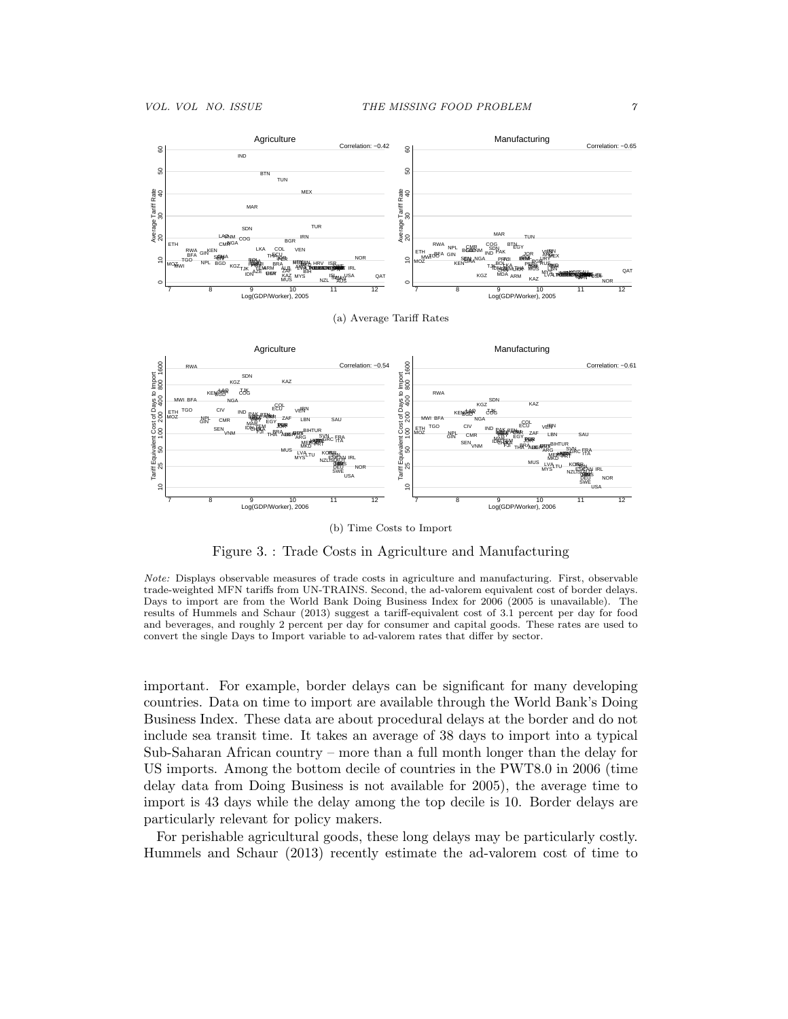$\subseteq$ 



AUS AUT FINAS<br>F DEU SWE  $\overline{a}$ 7 8 9 10 11 12 Log(GDP/Worker), 2006 7 8 9 10 11 12 Log(GDP/Worker), 2006 (b) Time Costs to Import

DEU

SWE

NOR

Figure 3. : Trade Costs in Agriculture and Manufacturing

Note: Displays observable measures of trade costs in agriculture and manufacturing. First, observable trade-weighted MFN tariffs from UN-TRAINS. Second, the ad-valorem equivalent cost of border delays. Days to import are from the World Bank Doing Business Index for 2006 (2005 is unavailable). The results of Hummels and Schaur (2013) suggest a tariff-equivalent cost of 3.1 percent per day for food and beverages, and roughly 2 percent per day for consumer and capital goods. These rates are used to convert the single Days to Import variable to ad-valorem rates that differ by sector.

important. For example, border delays can be significant for many developing countries. Data on time to import are available through the World Bank's Doing Business Index. These data are about procedural delays at the border and do not include sea transit time. It takes an average of 38 days to import into a typical Sub-Saharan African country – more than a full month longer than the delay for US imports. Among the bottom decile of countries in the PWT8.0 in 2006 (time delay data from Doing Business is not available for 2005), the average time to import is 43 days while the delay among the top decile is 10. Border delays are particularly relevant for policy makers.

For perishable agricultural goods, these long delays may be particularly costly. Hummels and Schaur (2013) recently estimate the ad-valorem cost of time to

EAN I

IRL

NOR

ESP

JPN

ISL ISR

KORB

NZLIS

LVA τυ

MYS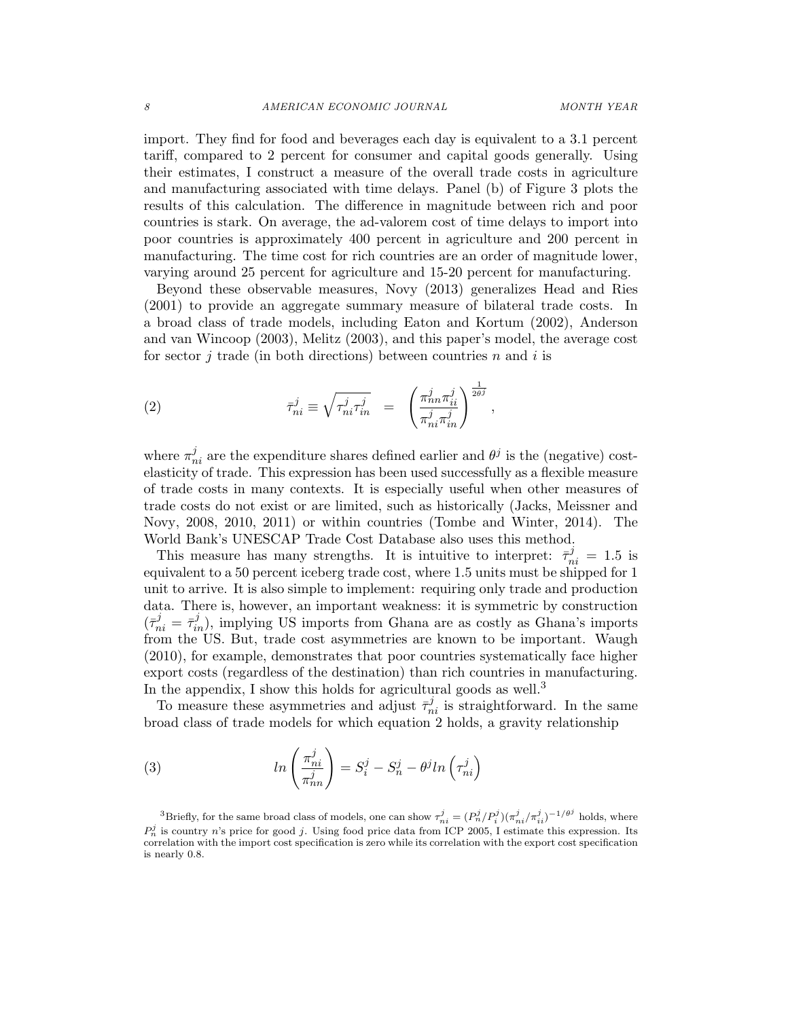import. They find for food and beverages each day is equivalent to a 3.1 percent tariff, compared to 2 percent for consumer and capital goods generally. Using their estimates, I construct a measure of the overall trade costs in agriculture and manufacturing associated with time delays. Panel (b) of Figure 3 plots the results of this calculation. The difference in magnitude between rich and poor countries is stark. On average, the ad-valorem cost of time delays to import into poor countries is approximately 400 percent in agriculture and 200 percent in manufacturing. The time cost for rich countries are an order of magnitude lower, varying around 25 percent for agriculture and 15-20 percent for manufacturing.

Beyond these observable measures, Novy (2013) generalizes Head and Ries (2001) to provide an aggregate summary measure of bilateral trade costs. In a broad class of trade models, including Eaton and Kortum (2002), Anderson and van Wincoop (2003), Melitz (2003), and this paper's model, the average cost for sector *i* trade (in both directions) between countries *n* and *i* is

(2) 
$$
\bar{\tau}_{ni}^j \equiv \sqrt{\tau_{ni}^j \tau_{in}^j} = \left(\frac{\pi_{nn}^j \pi_{ii}^j}{\pi_{ni}^j \pi_{in}^j}\right)^{\frac{1}{2\theta^j}},
$$

where  $\pi_{ni}^{j}$  are the expenditure shares defined earlier and  $\theta^{j}$  is the (negative) costelasticity of trade. This expression has been used successfully as a flexible measure of trade costs in many contexts. It is especially useful when other measures of trade costs do not exist or are limited, such as historically (Jacks, Meissner and Novy, 2008, 2010, 2011) or within countries (Tombe and Winter, 2014). The World Bank's UNESCAP Trade Cost Database also uses this method.

This measure has many strengths. It is intuitive to interpret:  $\bar{\tau}_{ni}^j = 1.5$  is equivalent to a 50 percent iceberg trade cost, where 1.5 units must be shipped for 1 unit to arrive. It is also simple to implement: requiring only trade and production data. There is, however, an important weakness: it is symmetric by construction  $({\bar \tau}_{ni}^j = {\bar \tau}_{in}^j)$ , implying US imports from Ghana are as costly as Ghana's imports from the US. But, trade cost asymmetries are known to be important. Waugh (2010), for example, demonstrates that poor countries systematically face higher export costs (regardless of the destination) than rich countries in manufacturing. In the appendix, I show this holds for agricultural goods as well.<sup>3</sup>

To measure these asymmetries and adjust  $\bar{\tau}_{ni}^j$  is straightforward. In the same broad class of trade models for which equation 2 holds, a gravity relationship

(3) 
$$
ln\left(\frac{\pi_{ni}^j}{\pi_{nn}^j}\right) = S_i^j - S_n^j - \theta^j ln\left(\tau_{ni}^j\right)
$$

<sup>3</sup>Briefly, for the same broad class of models, one can show  $\tau_{ni}^j = (P_n^j/P_i^j)(\pi_{ni}^j/\pi_{ii}^j)^{-1/\theta^j}$  holds, where  $P_n^j$  is country n's price for good j. Using food price data from ICP 2005, I estimate this expression. Its correlation with the import cost specification is zero while its correlation with the export cost specification is nearly 0.8.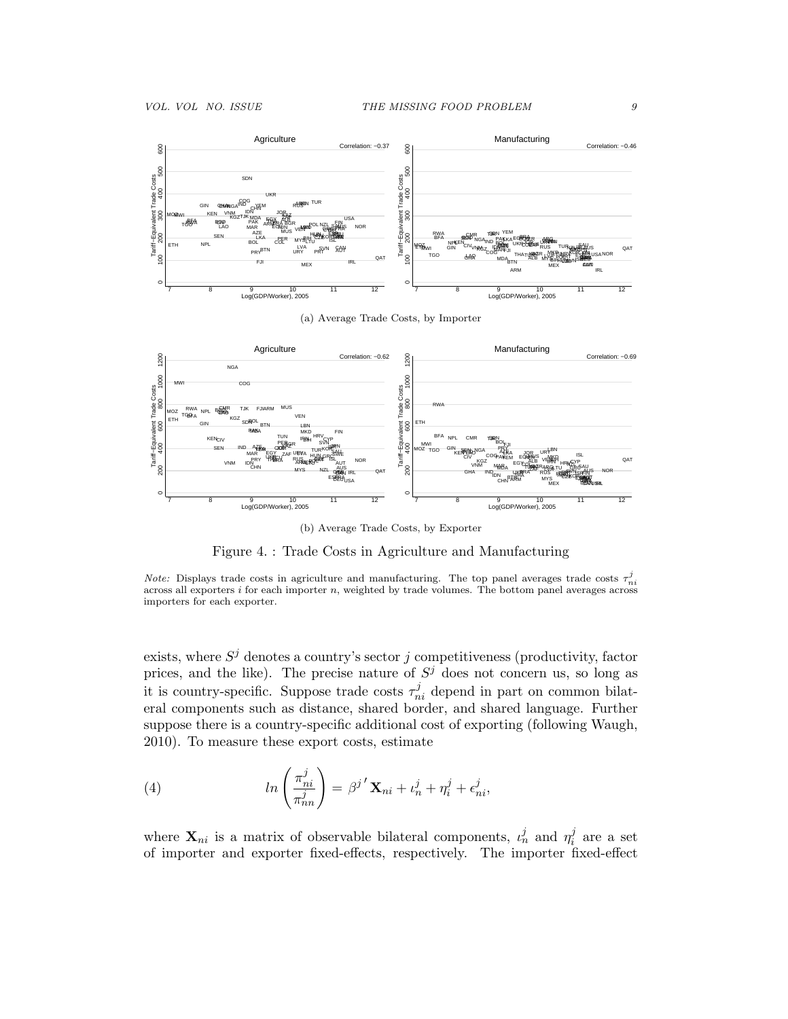

(a) Average Trade Costs, by Importer



(b) Average Trade Costs, by Exporter

Figure 4. : Trade Costs in Agriculture and Manufacturing

*Note:* Displays trade costs in agriculture and manufacturing. The top panel averages trade costs  $\tau_{ni}^{j}$ across all exporters  $i$  for each importer  $n$ , weighted by trade volumes. The bottom panel averages across importers for each exporter.

exists, where  $S^j$  denotes a country's sector j competitiveness (productivity, factor prices, and the like). The precise nature of  $S^j$  does not concern us, so long as it is country-specific. Suppose trade costs  $\tau_{ni}^{j}$  depend in part on common bilateral components such as distance, shared border, and shared language. Further suppose there is a country-specific additional cost of exporting (following Waugh, 2010). To measure these export costs, estimate

(4) 
$$
ln\left(\frac{\pi_{ni}^j}{\pi_{nn}^j}\right) = \beta^{j'}\mathbf{X}_{ni} + \iota_n^j + \eta_i^j + \epsilon_{ni}^j,
$$

where  $\mathbf{X}_{ni}$  is a matrix of observable bilateral components,  $\iota_n^j$  and  $\eta_i^j$  $i<sup>j</sup>$  are a set of importer and exporter fixed-effects, respectively. The importer fixed-effect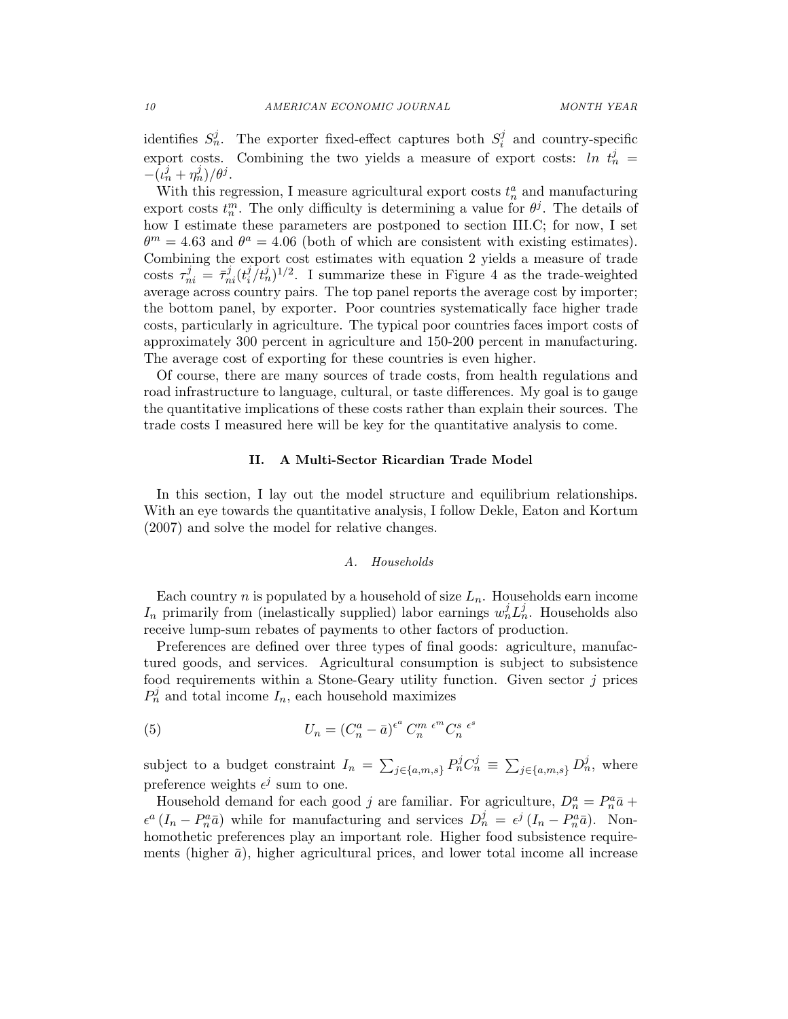identifies  $S_n^j$ . The exporter fixed-effect captures both  $S_i^j$  $i$  and country-specific export costs. Combining the two yields a measure of export costs:  $\ln t_n^j =$  $-(\iota_n^j + \eta_n^j)/\theta^j$ .

With this regression, I measure agricultural export costs  $t_n^a$  and manufacturing export costs  $t_n^m$ . The only difficulty is determining a value for  $\theta^j$ . The details of how I estimate these parameters are postponed to section III.C; for now, I set  $\theta^m = 4.63$  and  $\theta^a = 4.06$  (both of which are consistent with existing estimates). Combining the export cost estimates with equation 2 yields a measure of trade costs  $\tau_{ni}^j = \bar{\tau}_{ni}^j(t_i^j)$  $\int_{i}^{j} (t_n^j)^{1/2}$ . I summarize these in Figure 4 as the trade-weighted average across country pairs. The top panel reports the average cost by importer; the bottom panel, by exporter. Poor countries systematically face higher trade costs, particularly in agriculture. The typical poor countries faces import costs of approximately 300 percent in agriculture and 150-200 percent in manufacturing. The average cost of exporting for these countries is even higher.

Of course, there are many sources of trade costs, from health regulations and road infrastructure to language, cultural, or taste differences. My goal is to gauge the quantitative implications of these costs rather than explain their sources. The trade costs I measured here will be key for the quantitative analysis to come.

## II. A Multi-Sector Ricardian Trade Model

In this section, I lay out the model structure and equilibrium relationships. With an eye towards the quantitative analysis, I follow Dekle, Eaton and Kortum (2007) and solve the model for relative changes.

### A. Households

Each country *n* is populated by a household of size  $L_n$ . Households earn income  $I_n$  primarily from (inelastically supplied) labor earnings  $w_n^j L_n^j$ . Households also receive lump-sum rebates of payments to other factors of production.

Preferences are defined over three types of final goods: agriculture, manufactured goods, and services. Agricultural consumption is subject to subsistence food requirements within a Stone-Geary utility function. Given sector j prices  $P_n^j$  and total income  $I_n$ , each household maximizes

(5) 
$$
U_n = (C_n^a - \bar{a})^{\epsilon^a} C_n^{m \epsilon^m} C_n^s \epsilon^s
$$

subject to a budget constraint  $I_n = \sum_{j \in \{a,m,s\}} P_n^j C_n^j \equiv \sum_{j \in \{a,m,s\}} D_n^j$ , where preference weights  $\epsilon^j$  sum to one.

Household demand for each good j are familiar. For agriculture,  $D_n^a = P_n^a \bar{a} +$  $\epsilon^a (I_n - P_n^a \bar{a})$  while for manufacturing and services  $D_n^j = \epsilon^j (I_n - P_n^a \bar{a})$ . Nonhomothetic preferences play an important role. Higher food subsistence requirements (higher  $\bar{a}$ ), higher agricultural prices, and lower total income all increase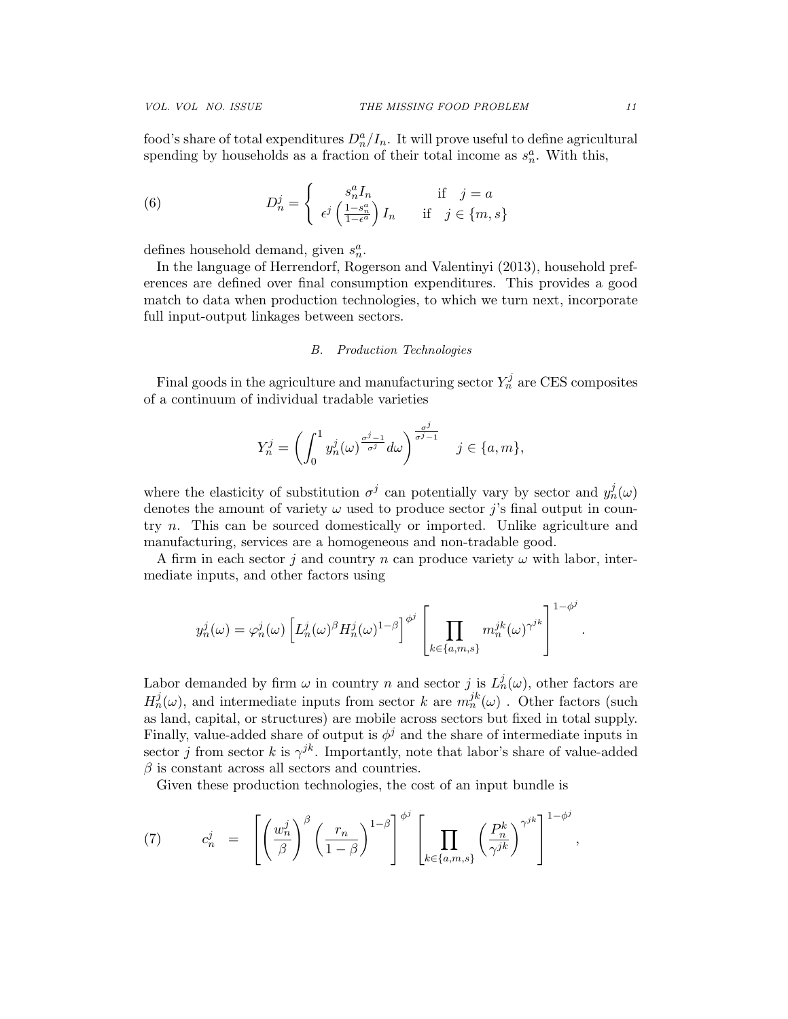food's share of total expenditures  $D_n^a/I_n$ . It will prove useful to define agricultural spending by households as a fraction of their total income as  $s_n^a$ . With this,

(6) 
$$
D_n^j = \begin{cases} s_n^a I_n & \text{if } j = a \\ \epsilon^j \left( \frac{1 - s_n^a}{1 - \epsilon^a} \right) I_n & \text{if } j \in \{m, s\} \end{cases}
$$

defines household demand, given  $s_n^a$ .

In the language of Herrendorf, Rogerson and Valentinyi (2013), household preferences are defined over final consumption expenditures. This provides a good match to data when production technologies, to which we turn next, incorporate full input-output linkages between sectors.

#### B. Production Technologies

Final goods in the agriculture and manufacturing sector  $Y_n^j$  are CES composites of a continuum of individual tradable varieties

$$
Y_n^j = \left(\int_0^1 y_n^j(\omega)^{\frac{\sigma^j-1}{\sigma^j}} d\omega\right)^{\frac{\sigma^j}{\sigma^j-1}} \quad j \in \{a, m\},\
$$

where the elasticity of substitution  $\sigma^j$  can potentially vary by sector and  $y_n^j(\omega)$ denotes the amount of variety  $\omega$  used to produce sector j's final output in country n. This can be sourced domestically or imported. Unlike agriculture and manufacturing, services are a homogeneous and non-tradable good.

A firm in each sector j and country n can produce variety  $\omega$  with labor, intermediate inputs, and other factors using

$$
y_n^j(\omega) = \varphi_n^j(\omega) \left[ L_n^j(\omega)^\beta H_n^j(\omega)^{1-\beta} \right]^{\phi^j} \left[ \prod_{k \in \{a,m,s\}} m_n^{jk}(\omega)^{\gamma^{jk}} \right]^{1-\phi^j}
$$

Labor demanded by firm  $\omega$  in country n and sector j is  $L_n^j(\omega)$ , other factors are  $H_n^j(\omega)$ , and intermediate inputs from sector k are  $m_n^{jk}(\omega)$ . Other factors (such as land, capital, or structures) are mobile across sectors but fixed in total supply. Finally, value-added share of output is  $\phi^j$  and the share of intermediate inputs in sector j from sector k is  $\gamma^{jk}$ . Importantly, note that labor's share of value-added  $\beta$  is constant across all sectors and countries.

Given these production technologies, the cost of an input bundle is

(7) 
$$
c_n^j = \left[ \left( \frac{w_n^j}{\beta} \right)^\beta \left( \frac{r_n}{1-\beta} \right)^{1-\beta} \right]^{\phi^j} \left[ \prod_{k \in \{a,m,s\}} \left( \frac{P_n^k}{\gamma^{jk}} \right)^{\gamma^{jk}} \right]^{1-\phi^j},
$$

.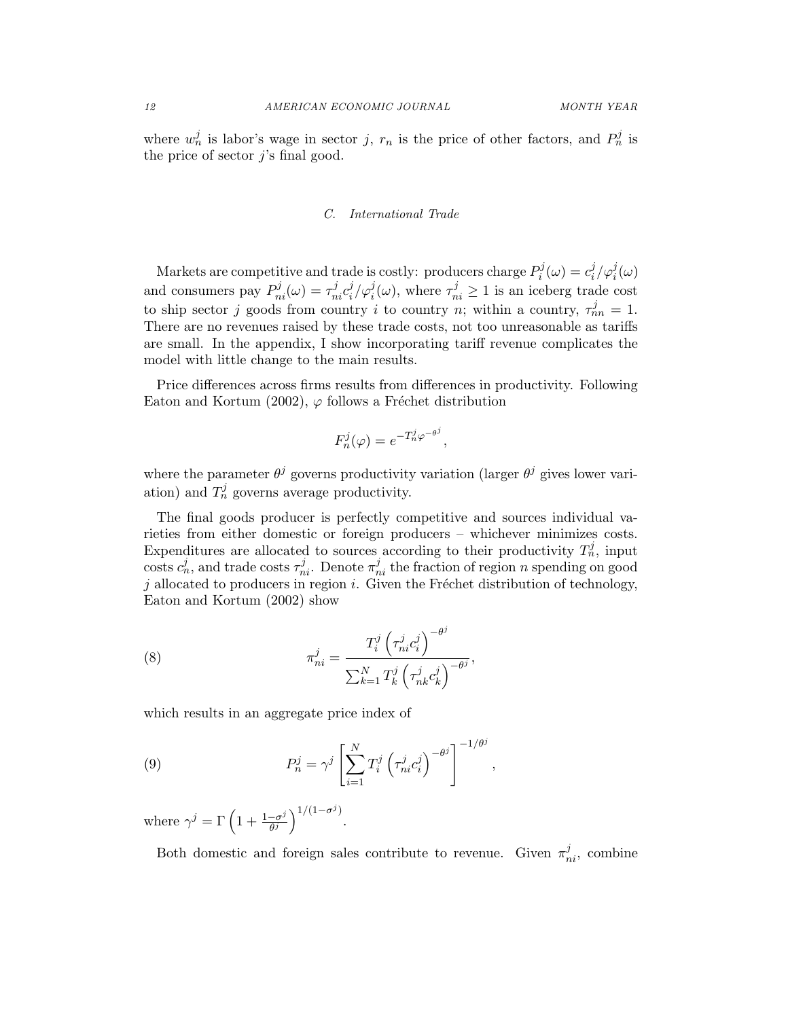where  $w_n^j$  is labor's wage in sector j,  $r_n$  is the price of other factors, and  $P_n^j$  is the price of sector  $i$ 's final good.

## C. International Trade

Markets are competitive and trade is costly: producers charge  $P_i^j$  $e_i^j(\omega) = c_i^j$  $\frac{j}{i}/\varphi_i^j(\omega)$ and consumers pay  $P_{ni}^j(\omega) = \tau_{ni}^j c_i^j$  $\tau_i^j/\varphi_i^j(\omega)$ , where  $\tau_{ni}^j \geq 1$  is an iceberg trade cost to ship sector j goods from country i to country n; within a country,  $\tau_{nn}^j = 1$ . There are no revenues raised by these trade costs, not too unreasonable as tariffs are small. In the appendix, I show incorporating tariff revenue complicates the model with little change to the main results.

Price differences across firms results from differences in productivity. Following Eaton and Kortum (2002),  $\varphi$  follows a Fréchet distribution

$$
F_n^j(\varphi) = e^{-T_n^j \varphi^{-\theta^j}},
$$

where the parameter  $\theta^j$  governs productivity variation (larger  $\theta^j$  gives lower variation) and  $T_n^j$  governs average productivity.

The final goods producer is perfectly competitive and sources individual varieties from either domestic or foreign producers – whichever minimizes costs. Expenditures are allocated to sources according to their productivity  $T_n^j$ , input costs  $c_n^j$ , and trade costs  $\tau_{ni}^j$ . Denote  $\pi_{ni}^j$  the fraction of region n spending on good  $j$  allocated to producers in region  $i$ . Given the Fréchet distribution of technology, Eaton and Kortum (2002) show

(8) 
$$
\pi_{ni}^{j} = \frac{T_i^j \left(\tau_{ni}^{j} c_i^{j}\right)^{-\theta^j}}{\sum_{k=1}^{N} T_k^j \left(\tau_{nk}^{j} c_k^{j}\right)^{-\theta^j}},
$$

which results in an aggregate price index of

(9) 
$$
P_n^j = \gamma^j \left[ \sum_{i=1}^N T_i^j \left( \tau_{ni}^j c_i^j \right)^{-\theta^j} \right]^{-1/\theta^j},
$$

where  $\gamma^j = \Gamma\left(1 + \frac{1-\sigma^j}{\theta^j}\right)$  $\frac{1}{\theta^j} \bigg)^{1/(1-\sigma^j)}.$ 

Both domestic and foreign sales contribute to revenue. Given  $\pi_{ni}^j$ , combine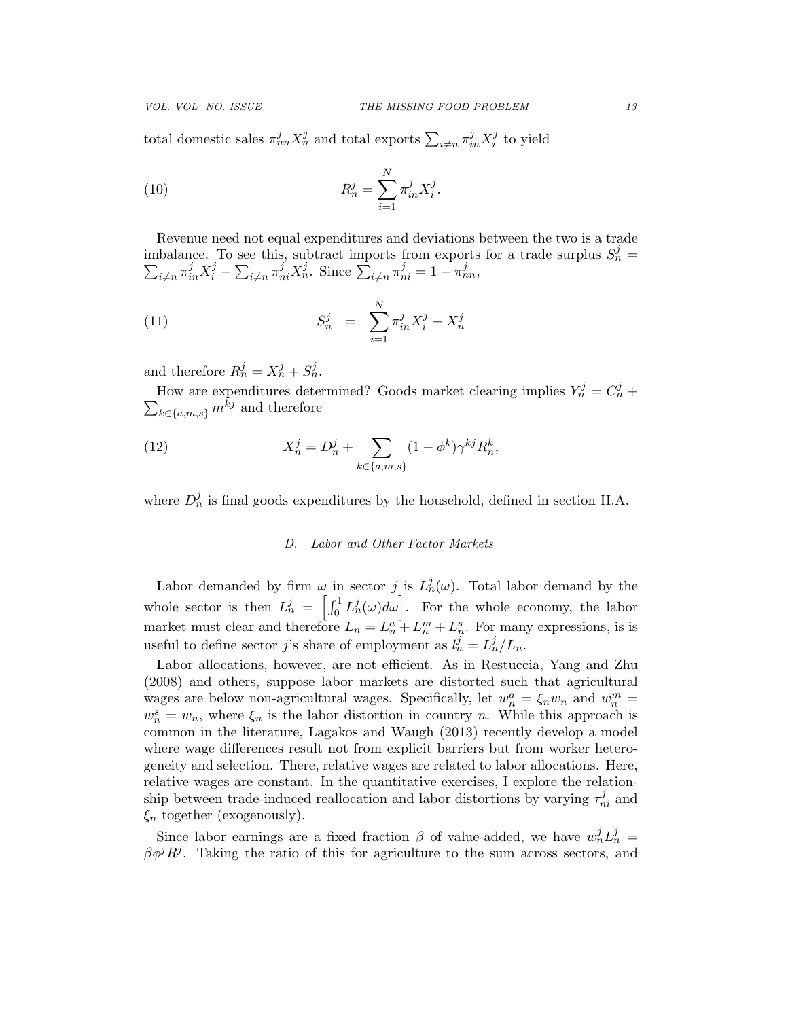total domestic sales  $\pi_{nn}^j X_n^j$  and total exports  $\sum_{i \neq n} \pi_{in}^j X_i^j$  $i$ <sup>t</sup> to yield

(10) 
$$
R_n^j = \sum_{i=1}^N \pi_{in}^j X_i^j.
$$

Revenue need not equal expenditures and deviations between the two is a trade imbalance. To see this, subtract imports from exports for a trade surplus  $S_n^j = \sum_{i \neq n} \pi_{in}^j X_i^j - \sum_{i \neq n} \pi_{ni}^j X_n^j$ . Since  $\sum_{i \neq n} \pi_{ni}^j = 1 - \pi_{nn}^j$ ,  $\sum_{i\neq n}\pi_{in}^jX_i^j-\sum_{i\neq n}\pi_{ni}^jX_n^j$ . Since  $\sum_{i\neq n}\pi_{ni}^j=1-\pi_{nn}^j$ ,

(11) 
$$
S_n^j = \sum_{i=1}^N \pi_{in}^j X_i^j - X_n^j
$$

and therefore  $R_n^j = X_n^j + S_n^j$ .

How are expenditures determined? Goods market clearing implies  $Y_n^j = C_n^j + \sum_{k \in \{a, m, s\}} m^{kj}$  and therefore  $\sum_{k\in\{a,m,s\}} m^{\hat{k}j}$  and therefore

(12) 
$$
X_n^j = D_n^j + \sum_{k \in \{a, m, s\}} (1 - \phi^k) \gamma^{kj} R_n^k,
$$

where  $D_n^j$  is final goods expenditures by the household, defined in section II.A.

## D. Labor and Other Factor Markets

Labor demanded by firm  $\omega$  in sector j is  $L_n^j(\omega)$ . Total labor demand by the whole sector is then  $L_n^j = \left[\int_0^1 L_n^j(\omega) d\omega\right]$ . For the whole economy, the labor market must clear and therefore  $L_n = L_n^a + L_n^m + L_n^s$ . For many expressions, is is useful to define sector j's share of employment as  $l_n^j = L_n^j/L_n$ .

Labor allocations, however, are not efficient. As in Restuccia, Yang and Zhu (2008) and others, suppose labor markets are distorted such that agricultural wages are below non-agricultural wages. Specifically, let  $w_n^a = \xi_n w_n$  and  $w_n^m =$  $w_n^s = w_n$ , where  $\xi_n$  is the labor distortion in country n. While this approach is common in the literature, Lagakos and Waugh (2013) recently develop a model where wage differences result not from explicit barriers but from worker heterogeneity and selection. There, relative wages are related to labor allocations. Here, relative wages are constant. In the quantitative exercises, I explore the relationship between trade-induced reallocation and labor distortions by varying  $\tau_{ni}^{j}$  and  $\xi_n$  together (exogenously).

Since labor earnings are a fixed fraction  $\beta$  of value-added, we have  $w_n^j L_n^j =$  $\beta \phi^j R^j$ . Taking the ratio of this for agriculture to the sum across sectors, and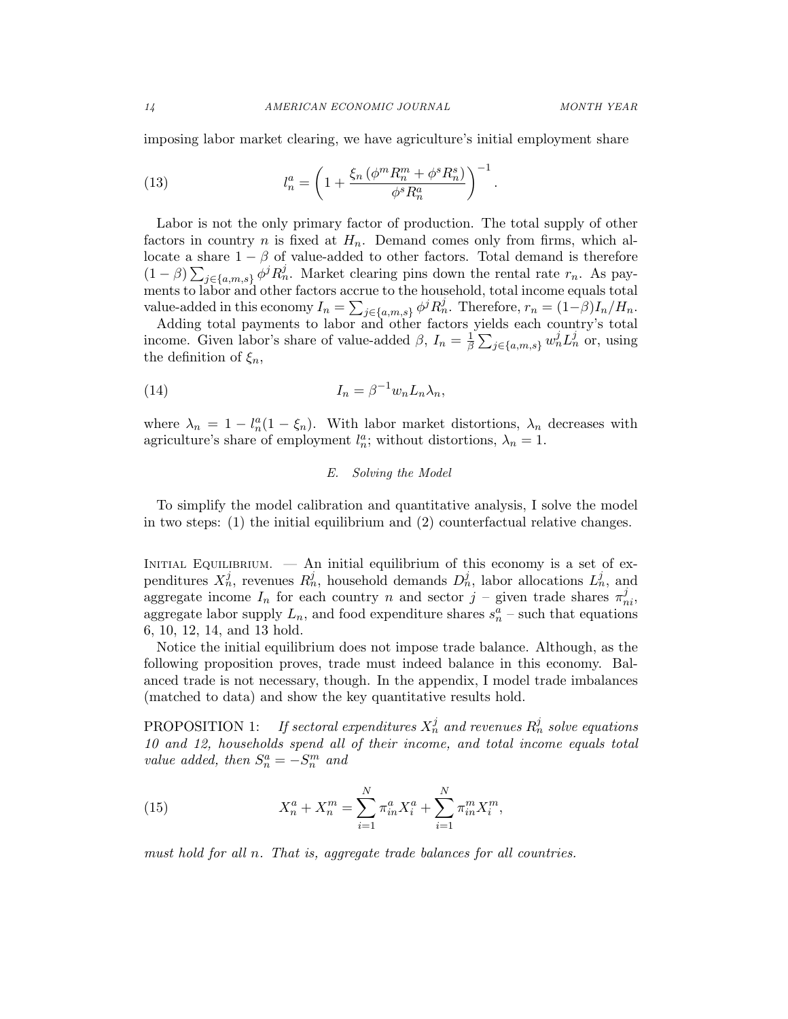imposing labor market clearing, we have agriculture's initial employment share

(13) 
$$
l_n^a = \left(1 + \frac{\xi_n \left(\phi^m R_n^m + \phi^s R_n^s\right)}{\phi^s R_n^a}\right)^{-1}.
$$

Labor is not the only primary factor of production. The total supply of other factors in country n is fixed at  $H_n$ . Demand comes only from firms, which allocate a share  $1 - \beta$  of value-added to other factors. Total demand is therefore  $(1-\beta)\sum_{j\in\{a,m,s\}}\phi^jR_n^j$ . Market clearing pins down the rental rate  $r_n$ . As payments to labor and other factors accrue to the household, total income equals total value-added in this economy  $I_n = \sum_{j \in \{a,m,s\}} \phi^j R_n^j$ . Therefore,  $r_n = (1-\beta)I_n/H_n$ .

Adding total payments to labor and other factors yields each country's total income. Given labor's share of value-added  $\beta$ ,  $I_n = \frac{1}{\beta}$  $\frac{1}{\beta}\sum_{j\in\{a,m,s\}} w_n^j L_n^j$  or, using the definition of  $\xi_n$ ,

(14) 
$$
I_n = \beta^{-1} w_n L_n \lambda_n,
$$

where  $\lambda_n = 1 - l_n^a (1 - \xi_n)$ . With labor market distortions,  $\lambda_n$  decreases with agriculture's share of employment  $l_n^a$ ; without distortions,  $\lambda_n = 1$ .

## E. Solving the Model

To simplify the model calibration and quantitative analysis, I solve the model in two steps: (1) the initial equilibrium and (2) counterfactual relative changes.

INITIAL EQUILIBRIUM.  $\overline{\phantom{a}}$  An initial equilibrium of this economy is a set of expenditures  $X_n^j$ , revenues  $R_n^j$ , household demands  $D_n^j$ , labor allocations  $L_n^j$ , and aggregate income  $I_n$  for each country n and sector  $j$  – given trade shares  $\pi_{ni}^j$ , aggregate labor supply  $L_n$ , and food expenditure shares  $s_n^a$  – such that equations 6, 10, 12, 14, and 13 hold.

Notice the initial equilibrium does not impose trade balance. Although, as the following proposition proves, trade must indeed balance in this economy. Balanced trade is not necessary, though. In the appendix, I model trade imbalances (matched to data) and show the key quantitative results hold.

PROPOSITION 1: If sectoral expenditures  $X_n^j$  and revenues  $R_n^j$  solve equations 10 and 12, households spend all of their income, and total income equals total value added, then  $S_n^a = -S_n^m$  and

(15) 
$$
X_n^a + X_n^m = \sum_{i=1}^N \pi_{in}^a X_i^a + \sum_{i=1}^N \pi_{in}^m X_i^m,
$$

must hold for all n. That is, aggregate trade balances for all countries.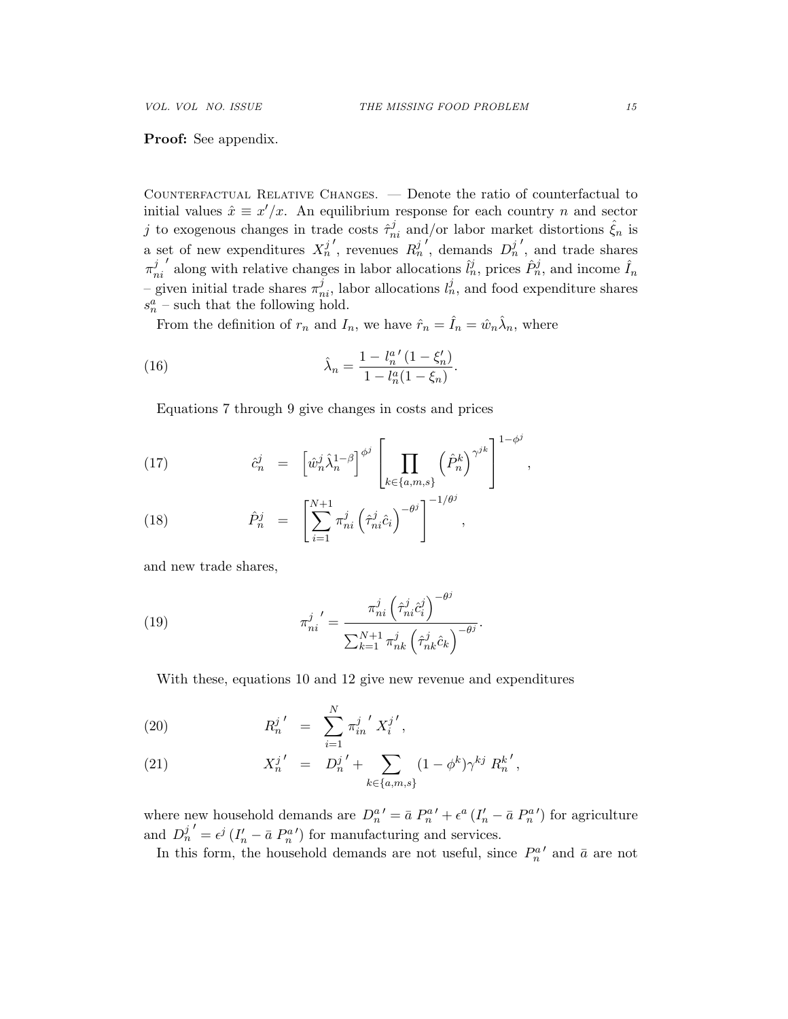## Proof: See appendix.

Counterfactual Relative Changes. — Denote the ratio of counterfactual to initial values  $\hat{x} \equiv x'/x$ . An equilibrium response for each country *n* and sector j to exogenous changes in trade costs  $\hat{\tau}_{ni}^j$  and/or labor market distortions  $\hat{\xi}_n$  is a set of new expenditures  $X_n^j$  $\sum_{n=1}^{\infty} R_n^j$  $\sum_{n=1}^{\infty}$  demands  $D_n^j$ 0 , and trade shares  $\pi_n^j$ ni along with relative changes in labor allocations  $\hat{l}_n^j$ , prices  $\hat{P}_n^j$ , and income  $\hat{l}_n$ – given initial trade shares  $\pi_{ni}^j$ , labor allocations  $l_n^j$ , and food expenditure shares  $s_n^a$  – such that the following hold.

From the definition of  $r_n$  and  $I_n$ , we have  $\hat{r}_n = \hat{I}_n = \hat{w}_n \hat{\lambda}_n$ , where

(16) 
$$
\hat{\lambda}_n = \frac{1 - l_n^{a'} (1 - \xi'_n)}{1 - l_n^{a} (1 - \xi_n)}.
$$

Equations 7 through 9 give changes in costs and prices

(17) 
$$
\hat{c}_n^j = \left[ \hat{w}_n^j \hat{\lambda}_n^{1-\beta} \right]^{\phi^j} \left[ \prod_{k \in \{a,m,s\}} \left( \hat{P}_n^k \right)^{\gamma^{jk}} \right]^{1-\phi^j},
$$

(18) 
$$
\hat{P}_n^j = \left[ \sum_{i=1}^{N+1} \pi_{ni}^j \left( \hat{\tau}_{ni}^j \hat{c}_i \right)^{-\theta^j} \right]^{-1/\theta^j},
$$

and new trade shares,

(19) 
$$
\pi_{ni}^{j'} = \frac{\pi_{ni}^{j} (\hat{\tau}_{ni}^{j} \hat{c}_{i}^{j})^{-\theta^{j}}}{\sum_{k=1}^{N+1} \pi_{nk}^{j} (\hat{\tau}_{nk}^{j} \hat{c}_{k})^{-\theta^{j}}}.
$$

With these, equations 10 and 12 give new revenue and expenditures

(20) 
$$
R_n^{j'} = \sum_{i=1}^N \pi_{in}^{j'} X_i^{j'},
$$

(21) 
$$
X_n^{j'} = D_n^{j'} + \sum_{k \in \{a,m,s\}} (1 - \phi^k) \gamma^{kj} R_n^{k'},
$$

where new household demands are  $D_n^{a'} = \bar{a} P_n^{a'} + \epsilon^a (I_n' - \bar{a} P_n^{a'})$  for agriculture and  $D_n^j$  $\mathcal{O}' = \epsilon^j (I'_n - \bar{a} P_n^{a'})$  for manufacturing and services.

In this form, the household demands are not useful, since  $P_n^{a'}$  and  $\bar{a}$  are not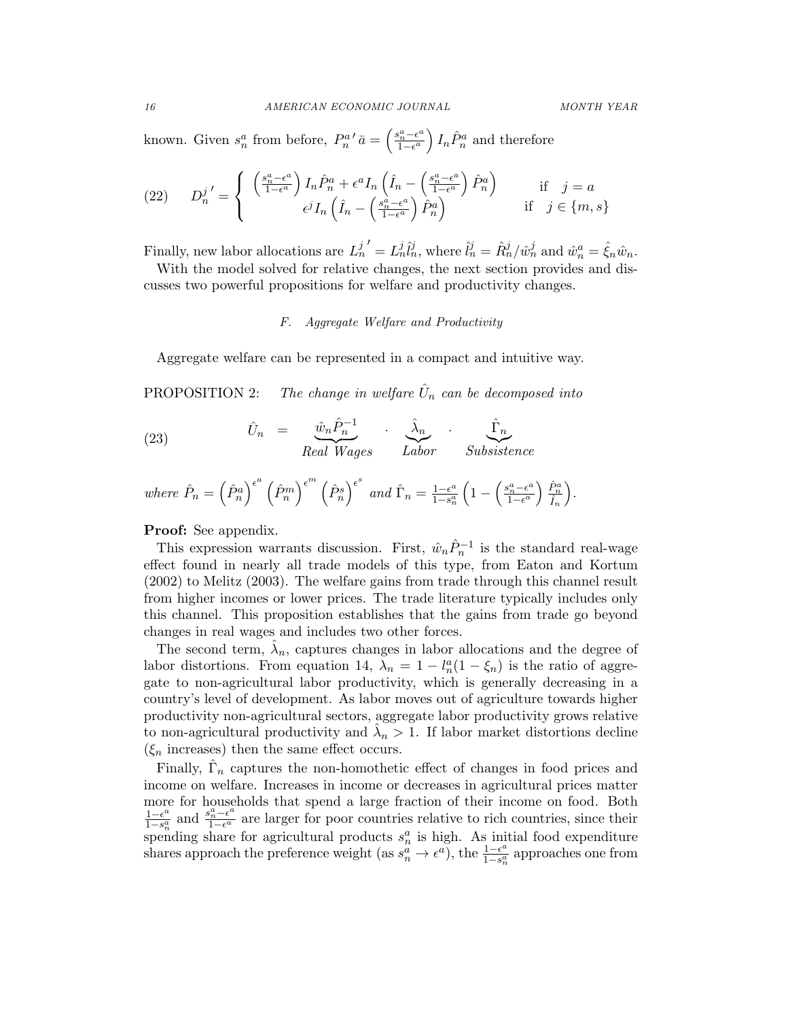known. Given  $s_n^a$  from before,  $P_n^{a}{}' \bar{a} = \left(\frac{s_n^a - \epsilon^a}{1 - \epsilon^a}\right)$  $\left(\frac{a_n^a - \epsilon^a}{1 - \epsilon^a}\right) I_n \hat{P}_n^a$  and therefore

(22) 
$$
D_n^{j'} = \begin{cases} \left(\frac{s_n^a - \epsilon^a}{1 - \epsilon^a}\right) I_n \hat{P}_n^a + \epsilon^a I_n \left(\hat{I}_n - \left(\frac{s_n^a - \epsilon^a}{1 - \epsilon^a}\right) \hat{P}_n^a\right) & \text{if } j = a\\ \epsilon^j I_n \left(\hat{I}_n - \left(\frac{s_n^a - \epsilon^a}{1 - \epsilon^a}\right) \hat{P}_n^a\right) & \text{if } j \in \{m, s\} \end{cases}
$$

Finally, new labor allocations are  $L_n^j$  $\hat{U} = L_n^j \hat{l}_n^j$ , where  $\hat{l}_n^j = \hat{R}_n^j / \hat{w}_n^j$  and  $\hat{w}_n^a = \hat{\xi}_n \hat{w}_n$ .

With the model solved for relative changes, the next section provides and discusses two powerful propositions for welfare and productivity changes.

## F. Aggregate Welfare and Productivity

Aggregate welfare can be represented in a compact and intuitive way.

PROPOSITION 2: The change in welfare  $\hat{U}_n$  can be decomposed into

(23) 
$$
\hat{U}_n = \underbrace{\hat{w}_n \hat{P}_n^{-1}}_{Real\,Wages} \cdot \underbrace{\hat{\lambda}_n}_{Labor} \cdot \underbrace{\hat{\Gamma}_n}_{Subsistence}
$$

where 
$$
\hat{P}_n = (\hat{P}_n^a)^{\epsilon^a} (\hat{P}_n^m)^{\epsilon^m} (\hat{P}_n^s)^{\epsilon^s}
$$
 and  $\hat{\Gamma}_n = \frac{1-\epsilon^a}{1-s_n^a} (1 - (\frac{s_n^a - \epsilon^a}{1-\epsilon^a}) \frac{\hat{P}_n^a}{\hat{I}_n}).$ 

Proof: See appendix.

This expression warrants discussion. First,  $\hat{w}_n \hat{P}_n^{-1}$  is the standard real-wage effect found in nearly all trade models of this type, from Eaton and Kortum (2002) to Melitz (2003). The welfare gains from trade through this channel result from higher incomes or lower prices. The trade literature typically includes only this channel. This proposition establishes that the gains from trade go beyond changes in real wages and includes two other forces.

The second term,  $\hat{\lambda}_n$ , captures changes in labor allocations and the degree of labor distortions. From equation 14,  $\lambda_n = 1 - l_n^a(1 - \xi_n)$  is the ratio of aggregate to non-agricultural labor productivity, which is generally decreasing in a country's level of development. As labor moves out of agriculture towards higher productivity non-agricultural sectors, aggregate labor productivity grows relative to non-agricultural productivity and  $\hat{\lambda}_n > 1$ . If labor market distortions decline  $(\xi_n)$  increases) then the same effect occurs.

Finally,  $\hat{\Gamma}_n$  captures the non-homothetic effect of changes in food prices and income on welfare. Increases in income or decreases in agricultural prices matter more for households that spend a large fraction of their income on food. Both  $1-\epsilon^a$  $\frac{1-\epsilon^a}{1-s_n^a}$  and  $\frac{s_n^a-\epsilon^a}{1-\epsilon^a}$ spending share for agricultural products  $s_n^a$  is high. As initial food expenditure  $\frac{a_n^2 - \epsilon^{\alpha}}{1 - \epsilon^{\alpha}}$  are larger for poor countries relative to rich countries, since their shares approach the preference weight (as  $s_n^a \to \epsilon^a$ ), the  $\frac{1-\epsilon^a}{1-s_n^a}$  $\frac{1-\epsilon^a}{1-s_n^a}$  approaches one from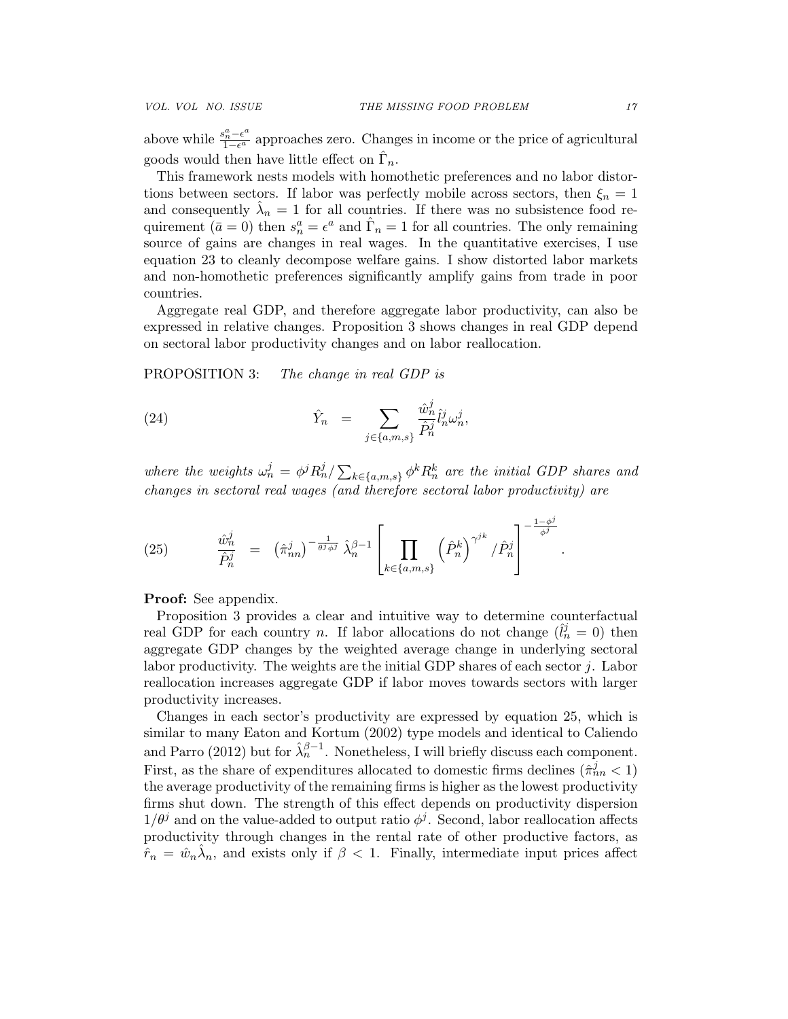above while  $\frac{s_n^a - \epsilon^a}{1 - \epsilon^a}$  $\frac{a_n^2 - \epsilon^{\alpha}}{1 - \epsilon^{\alpha}}$  approaches zero. Changes in income or the price of agricultural goods would then have little effect on  $\hat{\Gamma}_n$ .

This framework nests models with homothetic preferences and no labor distortions between sectors. If labor was perfectly mobile across sectors, then  $\xi_n = 1$ and consequently  $\hat{\lambda}_n = 1$  for all countries. If there was no subsistence food requirement  $(\bar{a}=0)$  then  $s_n^a = \epsilon^a$  and  $\hat{\Gamma}_n = 1$  for all countries. The only remaining source of gains are changes in real wages. In the quantitative exercises, I use equation 23 to cleanly decompose welfare gains. I show distorted labor markets and non-homothetic preferences significantly amplify gains from trade in poor countries.

Aggregate real GDP, and therefore aggregate labor productivity, can also be expressed in relative changes. Proposition 3 shows changes in real GDP depend on sectoral labor productivity changes and on labor reallocation.

PROPOSITION 3: The change in real GDP is

(24) 
$$
\hat{Y}_n = \sum_{j \in \{a,m,s\}} \frac{\hat{w}_n^j}{\hat{P}_n^j} \hat{l}_n^j \omega_n^j,
$$

where the weights  $\omega_n^j = \phi^j R_n^j / \sum_{k \in \{a,m,s\}} \phi^k R_n^k$  are the initial GDP shares and changes in sectoral real wages (and therefore sectoral labor productivity) are

(25) 
$$
\frac{\hat{w}_n^j}{\hat{P}_n^j} = (\hat{\pi}_{nn}^j)^{-\frac{1}{\theta^j \phi^j}} \hat{\lambda}_n^{\beta-1} \left[ \prod_{k \in \{a,m,s\}} \left( \hat{P}_n^k \right)^{\gamma^{jk}} / \hat{P}_n^j \right]^{-\frac{1-\phi^j}{\phi^j}}.
$$

Proof: See appendix.

Proposition 3 provides a clear and intuitive way to determine counterfactual real GDP for each country *n*. If labor allocations do not change  $(\hat{l}_n^j = 0)$  then aggregate GDP changes by the weighted average change in underlying sectoral labor productivity. The weights are the initial GDP shares of each sector  $j$ . Labor reallocation increases aggregate GDP if labor moves towards sectors with larger productivity increases.

Changes in each sector's productivity are expressed by equation 25, which is similar to many Eaton and Kortum (2002) type models and identical to Caliendo and Parro (2012) but for  $\hat{\lambda}_n^{\beta-1}$ . Nonetheless, I will briefly discuss each component. First, as the share of expenditures allocated to domestic firms declines  $(\hat{\pi}_{nn}^j < 1)$ the average productivity of the remaining firms is higher as the lowest productivity firms shut down. The strength of this effect depends on productivity dispersion  $1/\theta^j$  and on the value-added to output ratio  $\phi^j$ . Second, labor reallocation affects productivity through changes in the rental rate of other productive factors, as  $\hat{r}_n = \hat{w}_n \hat{\lambda}_n$ , and exists only if  $\beta < 1$ . Finally, intermediate input prices affect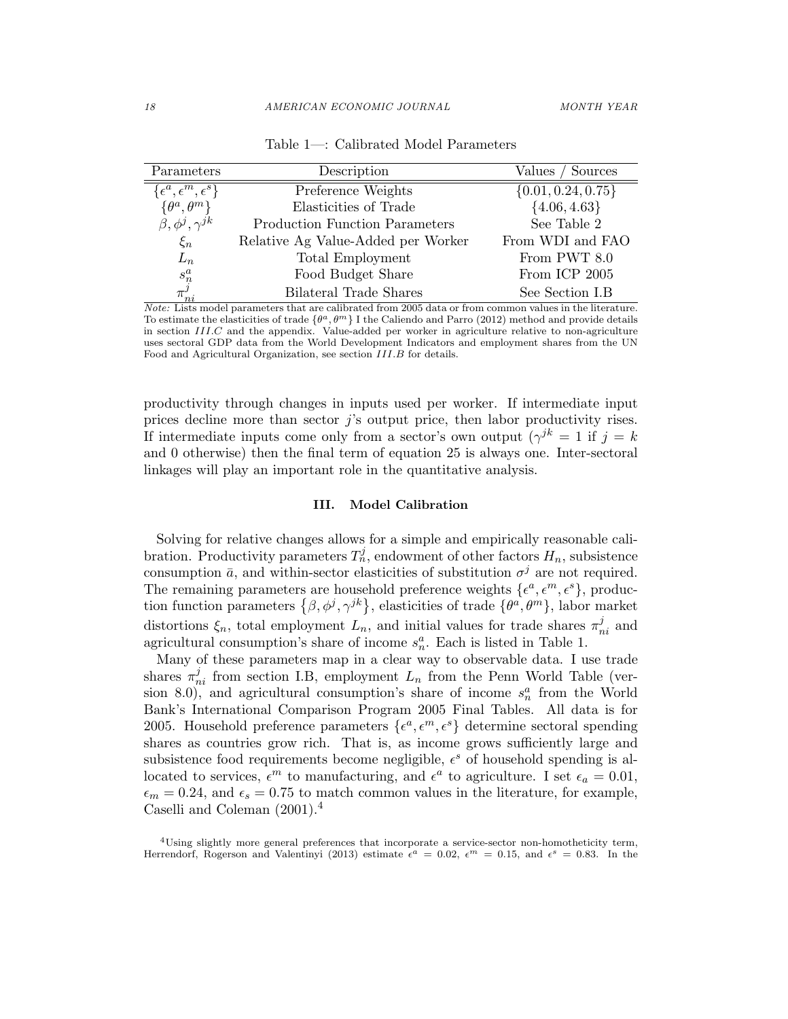| Parameters                             | Description                           | ' Sources<br>Values    |
|----------------------------------------|---------------------------------------|------------------------|
| $\{\epsilon^a,\epsilon^m,\epsilon^s\}$ | Preference Weights                    | $\{0.01, 0.24, 0.75\}$ |
| $\{\theta^a, \theta^m\}$               | Elasticities of Trade                 | $\{4.06, 4.63\}$       |
| $\beta, \phi^j, \gamma^{jk}$           | <b>Production Function Parameters</b> | See Table 2            |
| $\xi_n$                                | Relative Ag Value-Added per Worker    | From WDI and FAO       |
| $L_n$                                  | Total Employment                      | From PWT 8.0           |
|                                        | Food Budget Share                     | From ICP 2005          |
| $s_n^a\\ \pi_{ni}^j$                   | Bilateral Trade Shares                | See Section I.B        |

Table 1—: Calibrated Model Parameters

Note: Lists model parameters that are calibrated from 2005 data or from common values in the literature. To estimate the elasticities of trade  $\{\theta^a, \theta^m\}$  I the Caliendo and Parro (2012) method and provide details in section III.C and the appendix. Value-added per worker in agriculture relative to non-agriculture uses sectoral GDP data from the World Development Indicators and employment shares from the UN Food and Agricultural Organization, see section III.B for details.

productivity through changes in inputs used per worker. If intermediate input prices decline more than sector  $j$ 's output price, then labor productivity rises. If intermediate inputs come only from a sector's own output  $(\gamma^{jk} = 1 \text{ if } j = k)$ and 0 otherwise) then the final term of equation 25 is always one. Inter-sectoral linkages will play an important role in the quantitative analysis.

#### III. Model Calibration

Solving for relative changes allows for a simple and empirically reasonable calibration. Productivity parameters  $T_n^j$ , endowment of other factors  $H_n$ , subsistence consumption  $\bar{a}$ , and within-sector elasticities of substitution  $\sigma^j$  are not required. The remaining parameters are household preference weights  $\{\epsilon^a, \epsilon^m, \epsilon^s\}$ , production function parameters  $\{\beta, \phi^j, \gamma^{jk}\},$  elasticities of trade  $\{\theta^a, \theta^m\},$  labor market distortions  $\xi_n$ , total employment  $L_n$ , and initial values for trade shares  $\pi_{ni}^j$  and agricultural consumption's share of income  $s_n^a$ . Each is listed in Table 1.

Many of these parameters map in a clear way to observable data. I use trade shares  $\pi_{ni}^j$  from section I.B, employment  $L_n$  from the Penn World Table (version 8.0), and agricultural consumption's share of income  $s_n^a$  from the World Bank's International Comparison Program 2005 Final Tables. All data is for 2005. Household preference parameters  $\{\epsilon^a, \epsilon^m, \epsilon^s\}$  determine sectoral spending shares as countries grow rich. That is, as income grows sufficiently large and subsistence food requirements become negligible,  $\epsilon^s$  of household spending is allocated to services,  $\epsilon^m$  to manufacturing, and  $\epsilon^a$  to agriculture. I set  $\epsilon_a = 0.01$ ,  $\epsilon_m = 0.24$ , and  $\epsilon_s = 0.75$  to match common values in the literature, for example, Caselli and Coleman (2001).<sup>4</sup>

<sup>4</sup>Using slightly more general preferences that incorporate a service-sector non-homotheticity term, Herrendorf, Rogerson and Valentinyi (2013) estimate  $\epsilon^a = 0.02$ ,  $\epsilon^m = 0.15$ , and  $\epsilon^s = 0.83$ . In the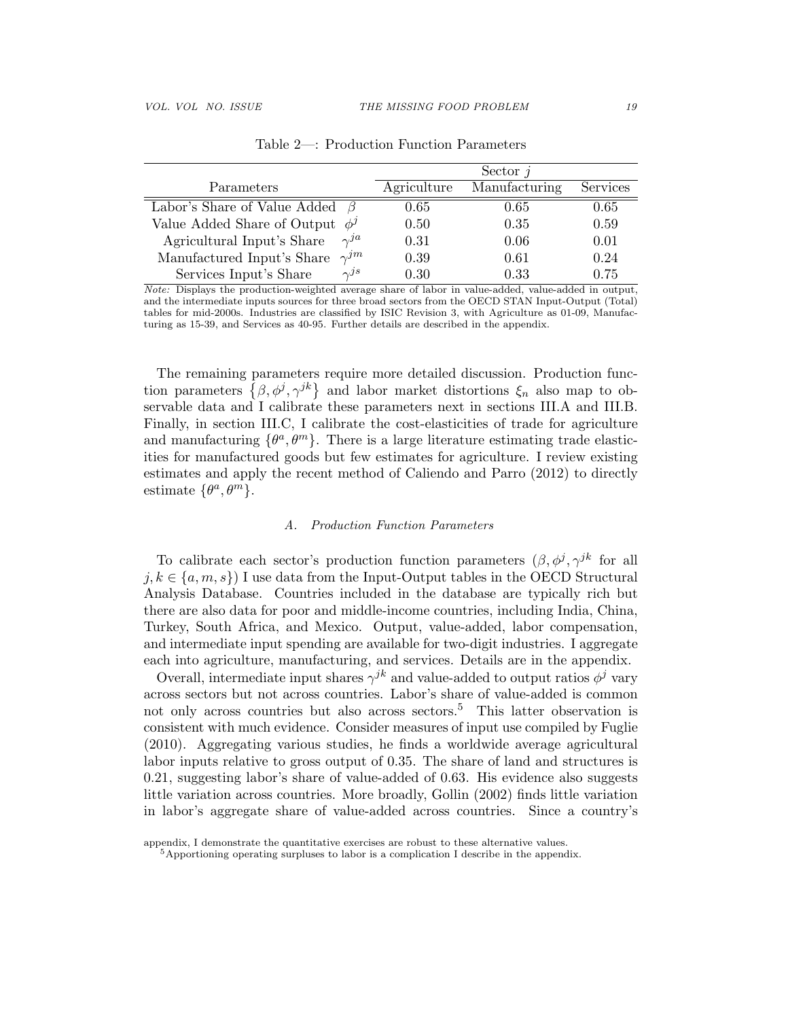|                                             |             | Sector $j$    |          |
|---------------------------------------------|-------------|---------------|----------|
| Parameters                                  | Agriculture | Manufacturing | Services |
| Labor's Share of Value Added $\beta$        | 0.65        | 0.65          | 0.65     |
| Value Added Share of Output $\phi^j$        | 0.50        | 0.35          | 0.59     |
| Agricultural Input's Share<br>$\gamma^{ja}$ | 0.31        | 0.06          | 0.01     |
| $\gamma^{jm}$<br>Manufactured Input's Share | 0.39        | 0.61          | 0.24     |
| $\gamma J^s$<br>Services Input's Share      | 0.30        | 0.33          | 0.75     |

Table 2—: Production Function Parameters

Note: Displays the production-weighted average share of labor in value-added, value-added in output, and the intermediate inputs sources for three broad sectors from the OECD STAN Input-Output (Total) tables for mid-2000s. Industries are classified by ISIC Revision 3, with Agriculture as 01-09, Manufacturing as 15-39, and Services as 40-95. Further details are described in the appendix.

The remaining parameters require more detailed discussion. Production function parameters  $\{\beta, \phi^j, \gamma^{jk}\}\$  and labor market distortions  $\xi_n$  also map to observable data and I calibrate these parameters next in sections III.A and III.B. Finally, in section III.C, I calibrate the cost-elasticities of trade for agriculture and manufacturing  $\{\theta^a, \theta^m\}$ . There is a large literature estimating trade elasticities for manufactured goods but few estimates for agriculture. I review existing estimates and apply the recent method of Caliendo and Parro (2012) to directly estimate  $\{\theta^a, \theta^m\}.$ 

#### A. Production Function Parameters

To calibrate each sector's production function parameters  $(\beta, \phi^j, \gamma^{jk})$  for all  $j, k \in \{a, m, s\}$  I use data from the Input-Output tables in the OECD Structural Analysis Database. Countries included in the database are typically rich but there are also data for poor and middle-income countries, including India, China, Turkey, South Africa, and Mexico. Output, value-added, labor compensation, and intermediate input spending are available for two-digit industries. I aggregate each into agriculture, manufacturing, and services. Details are in the appendix.

Overall, intermediate input shares  $\gamma^{jk}$  and value-added to output ratios  $\phi^j$  vary across sectors but not across countries. Labor's share of value-added is common not only across countries but also across sectors.<sup>5</sup> This latter observation is consistent with much evidence. Consider measures of input use compiled by Fuglie (2010). Aggregating various studies, he finds a worldwide average agricultural labor inputs relative to gross output of 0.35. The share of land and structures is 0.21, suggesting labor's share of value-added of 0.63. His evidence also suggests little variation across countries. More broadly, Gollin (2002) finds little variation in labor's aggregate share of value-added across countries. Since a country's

appendix, I demonstrate the quantitative exercises are robust to these alternative values.

<sup>&</sup>lt;sup>5</sup>Apportioning operating surpluses to labor is a complication I describe in the appendix.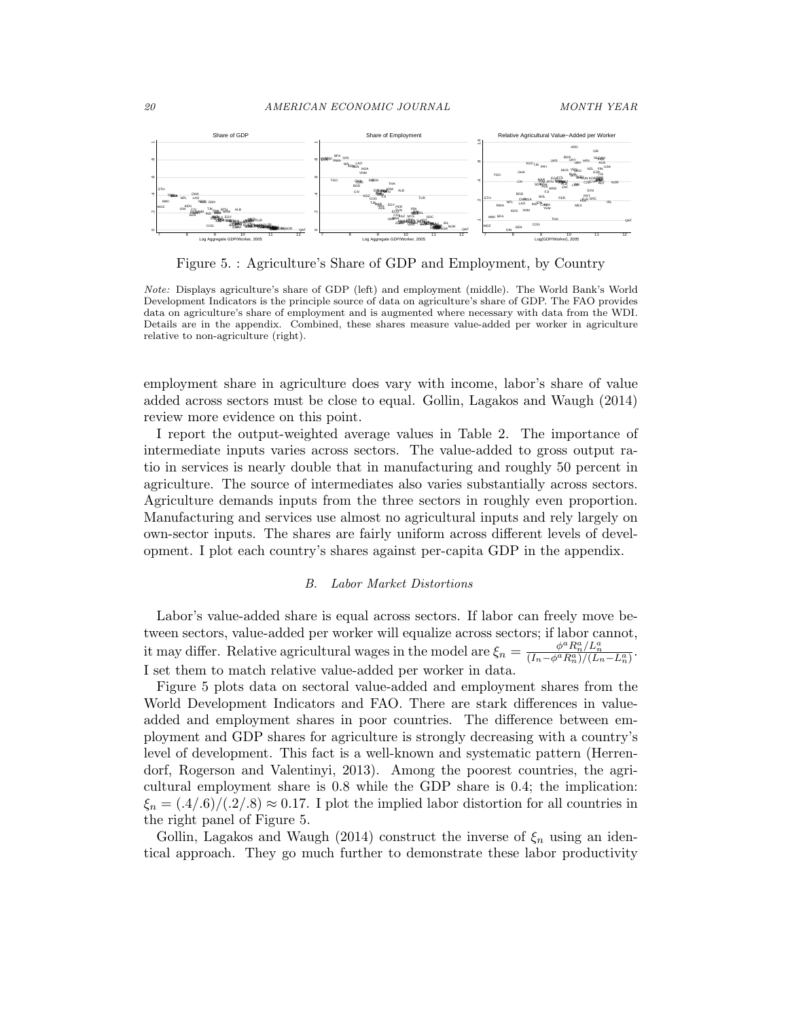

Figure 5. : Agriculture's Share of GDP and Employment, by Country

Note: Displays agriculture's share of GDP (left) and employment (middle). The World Bank's World Development Indicators is the principle source of data on agriculture's share of GDP. The FAO provides data on agriculture's share of employment and is augmented where necessary with data from the WDI. Details are in the appendix. Combined, these shares measure value-added per worker in agriculture relative to non-agriculture (right).

employment share in agriculture does vary with income, labor's share of value added across sectors must be close to equal. Gollin, Lagakos and Waugh (2014) review more evidence on this point.

I report the output-weighted average values in Table 2. The importance of intermediate inputs varies across sectors. The value-added to gross output ratio in services is nearly double that in manufacturing and roughly 50 percent in agriculture. The source of intermediates also varies substantially across sectors. Agriculture demands inputs from the three sectors in roughly even proportion. Manufacturing and services use almost no agricultural inputs and rely largely on own-sector inputs. The shares are fairly uniform across different levels of development. I plot each country's shares against per-capita GDP in the appendix.

#### B. Labor Market Distortions

Labor's value-added share is equal across sectors. If labor can freely move between sectors, value-added per worker will equalize across sectors; if labor cannot, it may differ. Relative agricultural wages in the model are  $\xi_n = \frac{\phi^a R_n^a / L_n^a}{(I_n - \phi^a R_n^a)/(L_n - L_n^a)}$ . I set them to match relative value-added per worker in data.

Figure 5 plots data on sectoral value-added and employment shares from the World Development Indicators and FAO. There are stark differences in valueadded and employment shares in poor countries. The difference between employment and GDP shares for agriculture is strongly decreasing with a country's level of development. This fact is a well-known and systematic pattern (Herrendorf, Rogerson and Valentinyi, 2013). Among the poorest countries, the agricultural employment share is 0.8 while the GDP share is 0.4; the implication:  $\xi_n = (0.4/0.6)/(0.2/0.8) \approx 0.17$ . I plot the implied labor distortion for all countries in the right panel of Figure 5.

Gollin, Lagakos and Waugh (2014) construct the inverse of  $\xi_n$  using an identical approach. They go much further to demonstrate these labor productivity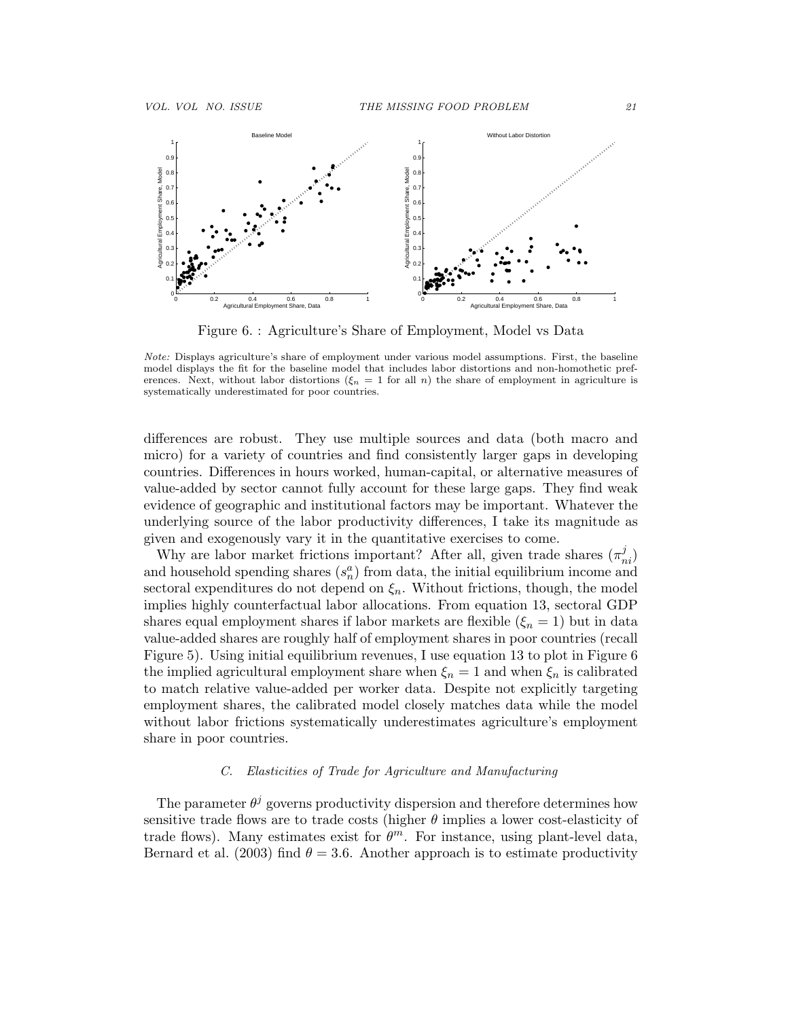

Figure 6. : Agriculture's Share of Employment, Model vs Data

Note: Displays agriculture's share of employment under various model assumptions. First, the baseline model displays the fit for the baseline model that includes labor distortions and non-homothetic preferences. Next, without labor distortions  $(\xi_n = 1$  for all n) the share of employment in agriculture is systematically underestimated for poor countries.

differences are robust. They use multiple sources and data (both macro and micro) for a variety of countries and find consistently larger gaps in developing countries. Differences in hours worked, human-capital, or alternative measures of value-added by sector cannot fully account for these large gaps. They find weak evidence of geographic and institutional factors may be important. Whatever the underlying source of the labor productivity differences, I take its magnitude as given and exogenously vary it in the quantitative exercises to come.

Why are labor market frictions important? After all, given trade shares  $(\pi_{ni}^j)$ and household spending shares  $(s_n^a)$  from data, the initial equilibrium income and sectoral expenditures do not depend on  $\xi_n$ . Without frictions, though, the model implies highly counterfactual labor allocations. From equation 13, sectoral GDP shares equal employment shares if labor markets are flexible  $(\xi_n = 1)$  but in data value-added shares are roughly half of employment shares in poor countries (recall Figure 5). Using initial equilibrium revenues, I use equation 13 to plot in Figure 6 the implied agricultural employment share when  $\xi_n = 1$  and when  $\xi_n$  is calibrated to match relative value-added per worker data. Despite not explicitly targeting employment shares, the calibrated model closely matches data while the model without labor frictions systematically underestimates agriculture's employment share in poor countries.

## C. Elasticities of Trade for Agriculture and Manufacturing

The parameter  $\theta^j$  governs productivity dispersion and therefore determines how sensitive trade flows are to trade costs (higher  $\theta$  implies a lower cost-elasticity of trade flows). Many estimates exist for  $\theta^m$ . For instance, using plant-level data, Bernard et al. (2003) find  $\theta = 3.6$ . Another approach is to estimate productivity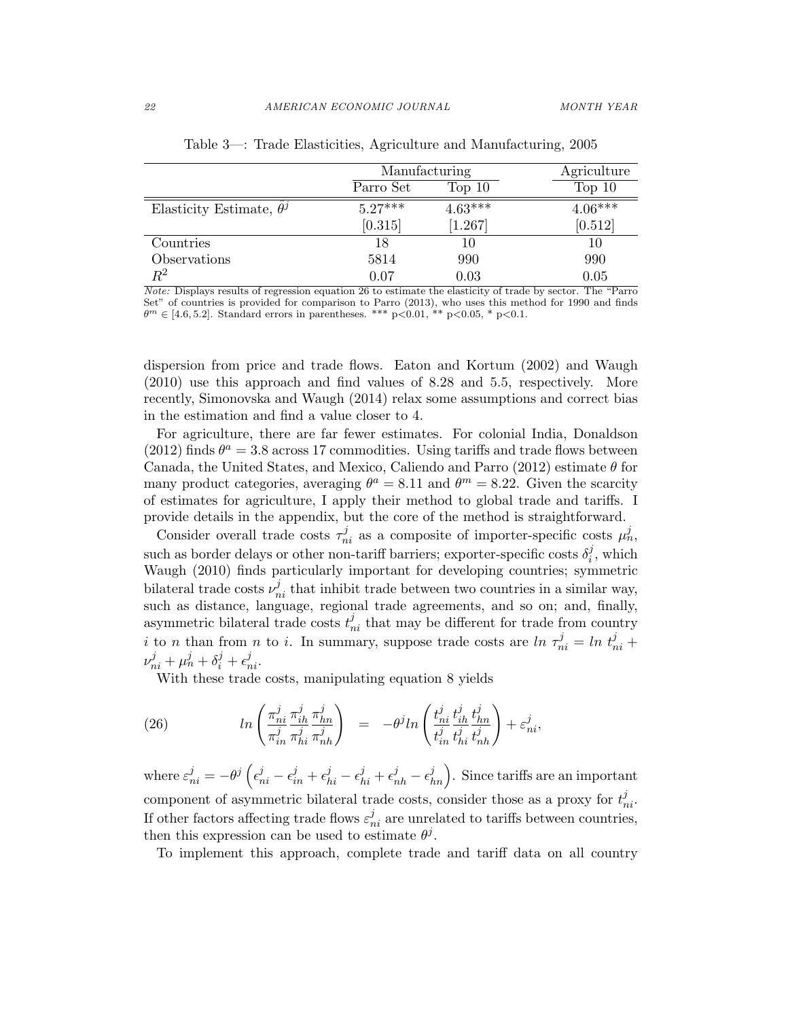|                                 | Manufacturing |           | Agriculture |
|---------------------------------|---------------|-----------|-------------|
|                                 | Parro Set     | Top 10    | Top 10      |
| Elasticity Estimate, $\theta^j$ | $5.27***$     | $4.63***$ | $4.06***$   |
|                                 | [0.315]       | [1.267]   | [0.512]     |
| Countries                       | 18            | 10        | 10          |
| Observations                    | 5814          | 990       | 990         |
| $\,R^2$                         | 0.07          | 0.03      | 0.05        |

Table 3—: Trade Elasticities, Agriculture and Manufacturing, 2005

Note: Displays results of regression equation 26 to estimate the elasticity of trade by sector. The "Parro Set" of countries is provided for comparison to Parro (2013), who uses this method for 1990 and finds  $\theta^m \in [4.6, 5.2]$ . Standard errors in parentheses. \*\*\* p<0.01, \*\* p<0.05, \* p<0.1.

dispersion from price and trade flows. Eaton and Kortum (2002) and Waugh (2010) use this approach and find values of 8.28 and 5.5, respectively. More recently, Simonovska and Waugh (2014) relax some assumptions and correct bias in the estimation and find a value closer to 4.

For agriculture, there are far fewer estimates. For colonial India, Donaldson (2012) finds  $\theta^a = 3.8$  across 17 commodities. Using tariffs and trade flows between Canada, the United States, and Mexico, Caliendo and Parro (2012) estimate  $\theta$  for many product categories, averaging  $\theta^a = 8.11$  and  $\theta^m = 8.22$ . Given the scarcity of estimates for agriculture, I apply their method to global trade and tariffs. I provide details in the appendix, but the core of the method is straightforward.

Consider overall trade costs  $\tau_{ni}^j$  as a composite of importer-specific costs  $\mu_n^j$ , such as border delays or other non-tariff barriers; exporter-specific costs  $\delta_i^j$  $i^j$ , which Waugh (2010) finds particularly important for developing countries; symmetric bilateral trade costs  $\nu_{ni}^j$  that inhibit trade between two countries in a similar way, such as distance, language, regional trade agreements, and so on; and, finally, asymmetric bilateral trade costs  $t_{ni}^j$  that may be different for trade from country i to n than from n to i. In summary, suppose trade costs are  $\ln \tau_{ni}^j = \ln t_{ni}^j +$  $\nu_{ni}^{j} + \mu_{n}^{j} + \delta_{i}^{j} + \epsilon_{ni}^{j}$ .

With these trade costs, manipulating equation 8 yields

(26) 
$$
\ln\left(\frac{\pi_{ni}^j}{\pi_{in}^j}\frac{\pi_{ih}^j}{\pi_{hi}^j}\frac{\pi_{hn}^j}{\pi_{nh}^j}\right) = -\theta^j \ln\left(\frac{t_{ni}^j}{t_{in}^j}\frac{t_{ih}^j}{t_{hi}^j}\frac{t_{in}^j}{t_{nh}^j}\right) + \varepsilon_{ni}^j,
$$

where  $\varepsilon_{ni}^j = -\theta^j\left(\epsilon_{ni}^j-\epsilon_{in}^j+\epsilon_{hi}^j-\epsilon_{hi}^j+\epsilon_{nh}^j-\epsilon_{hn}^j\right)$ . Since tariffs are an important component of asymmetric bilateral trade costs, consider those as a proxy for  $t_{ni}^j$ . If other factors affecting trade flows  $\varepsilon_{ni}^j$  are unrelated to tariffs between countries, then this expression can be used to estimate  $\theta^{j}$ .

To implement this approach, complete trade and tariff data on all country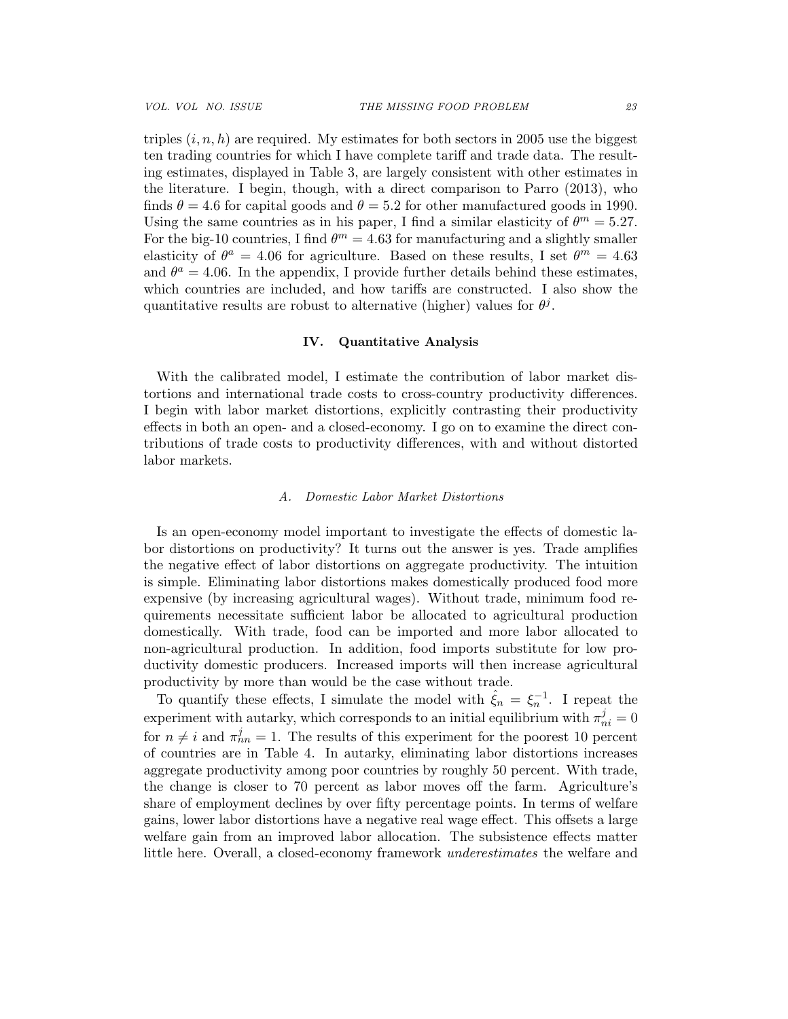triples  $(i, n, h)$  are required. My estimates for both sectors in 2005 use the biggest ten trading countries for which I have complete tariff and trade data. The resulting estimates, displayed in Table 3, are largely consistent with other estimates in the literature. I begin, though, with a direct comparison to Parro (2013), who finds  $\theta = 4.6$  for capital goods and  $\theta = 5.2$  for other manufactured goods in 1990. Using the same countries as in his paper, I find a similar elasticity of  $\theta^m = 5.27$ . For the big-10 countries, I find  $\theta^m = 4.63$  for manufacturing and a slightly smaller elasticity of  $\theta^a = 4.06$  for agriculture. Based on these results, I set  $\theta^m = 4.63$ and  $\theta^a = 4.06$ . In the appendix, I provide further details behind these estimates, which countries are included, and how tariffs are constructed. I also show the quantitative results are robust to alternative (higher) values for  $\theta^j$ .

#### IV. Quantitative Analysis

With the calibrated model, I estimate the contribution of labor market distortions and international trade costs to cross-country productivity differences. I begin with labor market distortions, explicitly contrasting their productivity effects in both an open- and a closed-economy. I go on to examine the direct contributions of trade costs to productivity differences, with and without distorted labor markets.

#### A. Domestic Labor Market Distortions

Is an open-economy model important to investigate the effects of domestic labor distortions on productivity? It turns out the answer is yes. Trade amplifies the negative effect of labor distortions on aggregate productivity. The intuition is simple. Eliminating labor distortions makes domestically produced food more expensive (by increasing agricultural wages). Without trade, minimum food requirements necessitate sufficient labor be allocated to agricultural production domestically. With trade, food can be imported and more labor allocated to non-agricultural production. In addition, food imports substitute for low productivity domestic producers. Increased imports will then increase agricultural productivity by more than would be the case without trade.

To quantify these effects, I simulate the model with  $\hat{\xi}_n = \xi_n^{-1}$ . I repeat the experiment with autarky, which corresponds to an initial equilibrium with  $\pi_{ni}^j = 0$ for  $n \neq i$  and  $\pi_{nn}^j = 1$ . The results of this experiment for the poorest 10 percent of countries are in Table 4. In autarky, eliminating labor distortions increases aggregate productivity among poor countries by roughly 50 percent. With trade, the change is closer to 70 percent as labor moves off the farm. Agriculture's share of employment declines by over fifty percentage points. In terms of welfare gains, lower labor distortions have a negative real wage effect. This offsets a large welfare gain from an improved labor allocation. The subsistence effects matter little here. Overall, a closed-economy framework underestimates the welfare and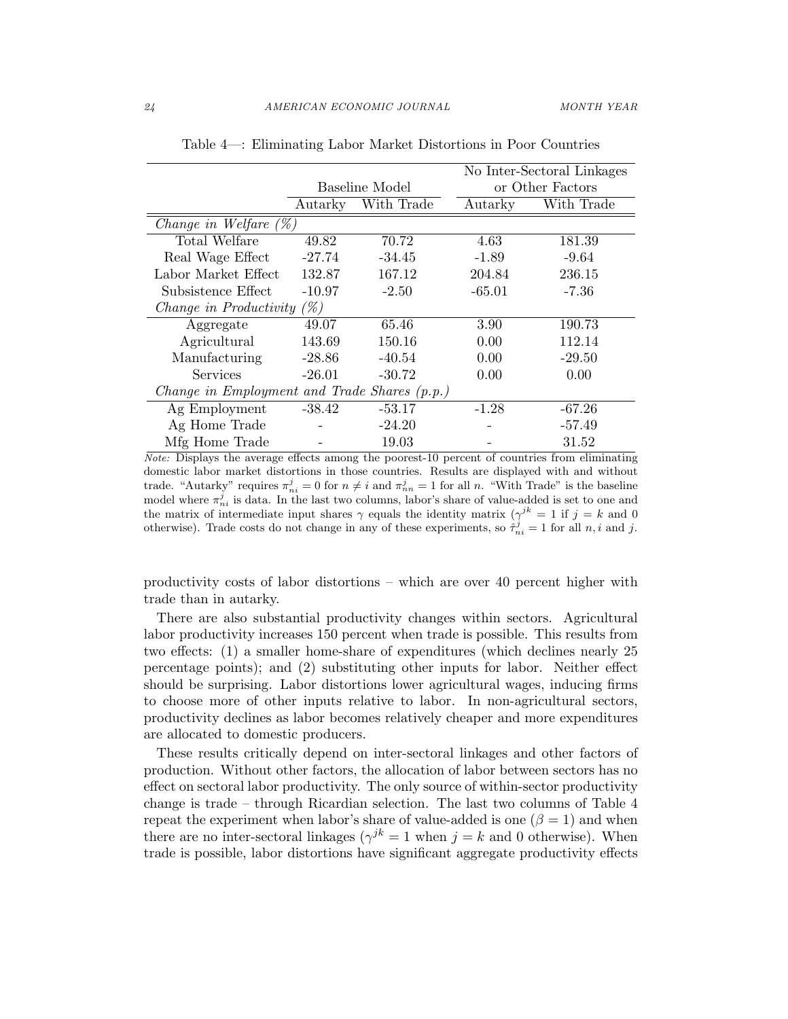|                                              |                |            | No Inter-Sectoral Linkages |                  |  |
|----------------------------------------------|----------------|------------|----------------------------|------------------|--|
|                                              | Baseline Model |            |                            | or Other Factors |  |
|                                              | Autarky        | With Trade | Autarky                    | With Trade       |  |
| Change in Welfare $(\%)$                     |                |            |                            |                  |  |
| Total Welfare                                | 49.82          | 70.72      | 4.63                       | 181.39           |  |
| Real Wage Effect                             | $-27.74$       | $-34.45$   | $-1.89$                    | $-9.64$          |  |
| Labor Market Effect                          | 132.87         | 167.12     | 204.84                     | 236.15           |  |
| Subsistence Effect                           | $-10.97$       | $-2.50$    | $-65.01$                   | $-7.36$          |  |
| Change in Productivity $(\%)$                |                |            |                            |                  |  |
| Aggregate                                    | 49.07          | 65.46      | 3.90                       | 190.73           |  |
| Agricultural                                 | 143.69         | 150.16     | 0.00                       | 112.14           |  |
| Manufacturing                                | $-28.86$       | $-40.54$   | 0.00                       | $-29.50$         |  |
| Services                                     | $-26.01$       | $-30.72$   | 0.00                       | 0.00             |  |
| Change in Employment and Trade Shares (p.p.) |                |            |                            |                  |  |
| Ag Employment                                | $-38.42$       | $-53.17$   | $-1.28$                    | $-67.26$         |  |
| Ag Home Trade                                |                | $-24.20$   |                            | $-57.49$         |  |
| Mfg Home Trade                               |                | 19.03      |                            | 31.52            |  |

Table 4—: Eliminating Labor Market Distortions in Poor Countries

Note: Displays the average effects among the poorest-10 percent of countries from eliminating domestic labor market distortions in those countries. Results are displayed with and without trade. "Autarky" requires  $\pi_{ni}^j = 0$  for  $n \neq i$  and  $\pi_{nn}^j = 1$  for all n. "With Trade" is the baseline model where  $\pi_{ni}^j$  is data. In the last two columns, labor's share of value-added is set to one and the matrix of intermediate input shares  $\gamma$  equals the identity matrix  $(\gamma^{jk} = 1 \text{ if } j = k \text{ and } 0$ otherwise). Trade costs do not change in any of these experiments, so  $\hat{\tau}_{ni}^j = 1$  for all  $n, i$  and j.

productivity costs of labor distortions – which are over 40 percent higher with trade than in autarky.

There are also substantial productivity changes within sectors. Agricultural labor productivity increases 150 percent when trade is possible. This results from two effects: (1) a smaller home-share of expenditures (which declines nearly 25 percentage points); and (2) substituting other inputs for labor. Neither effect should be surprising. Labor distortions lower agricultural wages, inducing firms to choose more of other inputs relative to labor. In non-agricultural sectors, productivity declines as labor becomes relatively cheaper and more expenditures are allocated to domestic producers.

These results critically depend on inter-sectoral linkages and other factors of production. Without other factors, the allocation of labor between sectors has no effect on sectoral labor productivity. The only source of within-sector productivity change is trade – through Ricardian selection. The last two columns of Table 4 repeat the experiment when labor's share of value-added is one ( $\beta = 1$ ) and when there are no inter-sectoral linkages ( $\gamma^{jk} = 1$  when  $j = k$  and 0 otherwise). When trade is possible, labor distortions have significant aggregate productivity effects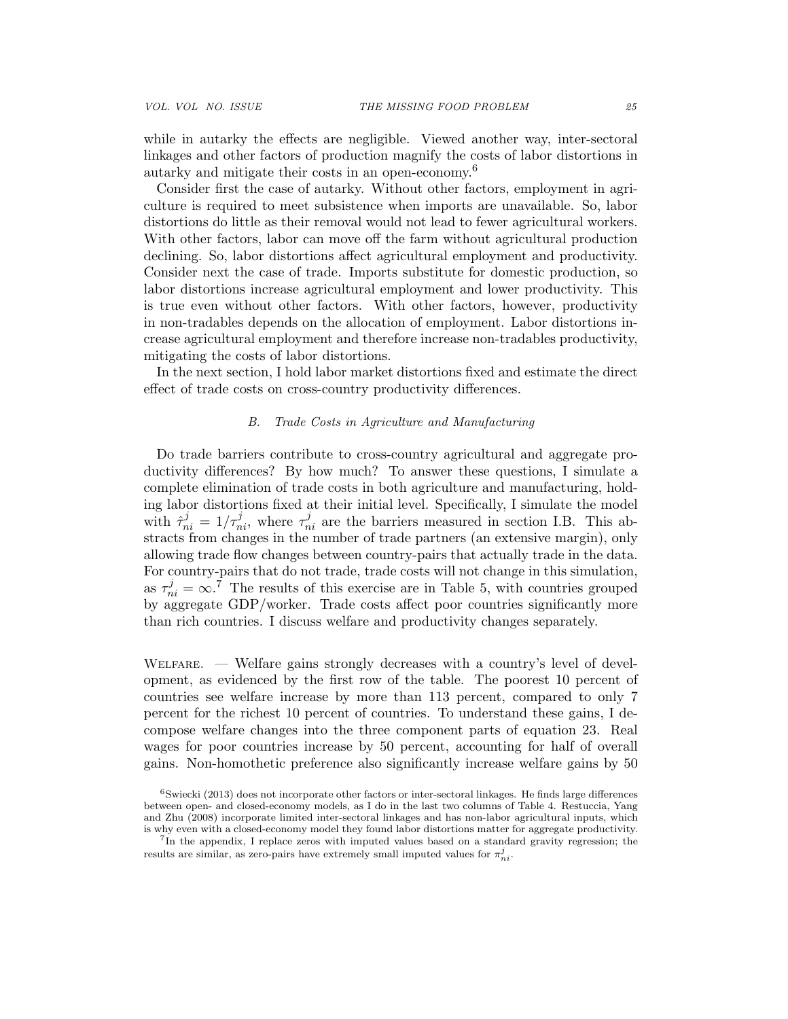while in autarky the effects are negligible. Viewed another way, inter-sectoral linkages and other factors of production magnify the costs of labor distortions in autarky and mitigate their costs in an open-economy.<sup>6</sup>

Consider first the case of autarky. Without other factors, employment in agriculture is required to meet subsistence when imports are unavailable. So, labor distortions do little as their removal would not lead to fewer agricultural workers. With other factors, labor can move off the farm without agricultural production declining. So, labor distortions affect agricultural employment and productivity. Consider next the case of trade. Imports substitute for domestic production, so labor distortions increase agricultural employment and lower productivity. This is true even without other factors. With other factors, however, productivity in non-tradables depends on the allocation of employment. Labor distortions increase agricultural employment and therefore increase non-tradables productivity, mitigating the costs of labor distortions.

In the next section, I hold labor market distortions fixed and estimate the direct effect of trade costs on cross-country productivity differences.

## B. Trade Costs in Agriculture and Manufacturing

Do trade barriers contribute to cross-country agricultural and aggregate productivity differences? By how much? To answer these questions, I simulate a complete elimination of trade costs in both agriculture and manufacturing, holding labor distortions fixed at their initial level. Specifically, I simulate the model with  $\hat{\tau}_{ni}^j = 1/\tau_{ni}^j$ , where  $\tau_{ni}^j$  are the barriers measured in section I.B. This abstracts from changes in the number of trade partners (an extensive margin), only allowing trade flow changes between country-pairs that actually trade in the data. For country-pairs that do not trade, trade costs will not change in this simulation, as  $\tau_{ni}^{j} = \infty$ .<sup>7</sup> The results of this exercise are in Table 5, with countries grouped by aggregate GDP/worker. Trade costs affect poor countries significantly more than rich countries. I discuss welfare and productivity changes separately.

Welfare. — Welfare gains strongly decreases with a country's level of development, as evidenced by the first row of the table. The poorest 10 percent of countries see welfare increase by more than 113 percent, compared to only 7 percent for the richest 10 percent of countries. To understand these gains, I decompose welfare changes into the three component parts of equation 23. Real wages for poor countries increase by 50 percent, accounting for half of overall gains. Non-homothetic preference also significantly increase welfare gains by 50

 $6$ Swiecki (2013) does not incorporate other factors or inter-sectoral linkages. He finds large differences between open- and closed-economy models, as I do in the last two columns of Table 4. Restuccia, Yang and Zhu (2008) incorporate limited inter-sectoral linkages and has non-labor agricultural inputs, which is why even with a closed-economy model they found labor distortions matter for aggregate productivity.

<sup>7</sup> In the appendix, I replace zeros with imputed values based on a standard gravity regression; the results are similar, as zero-pairs have extremely small imputed values for  $\pi_{ni}^j.$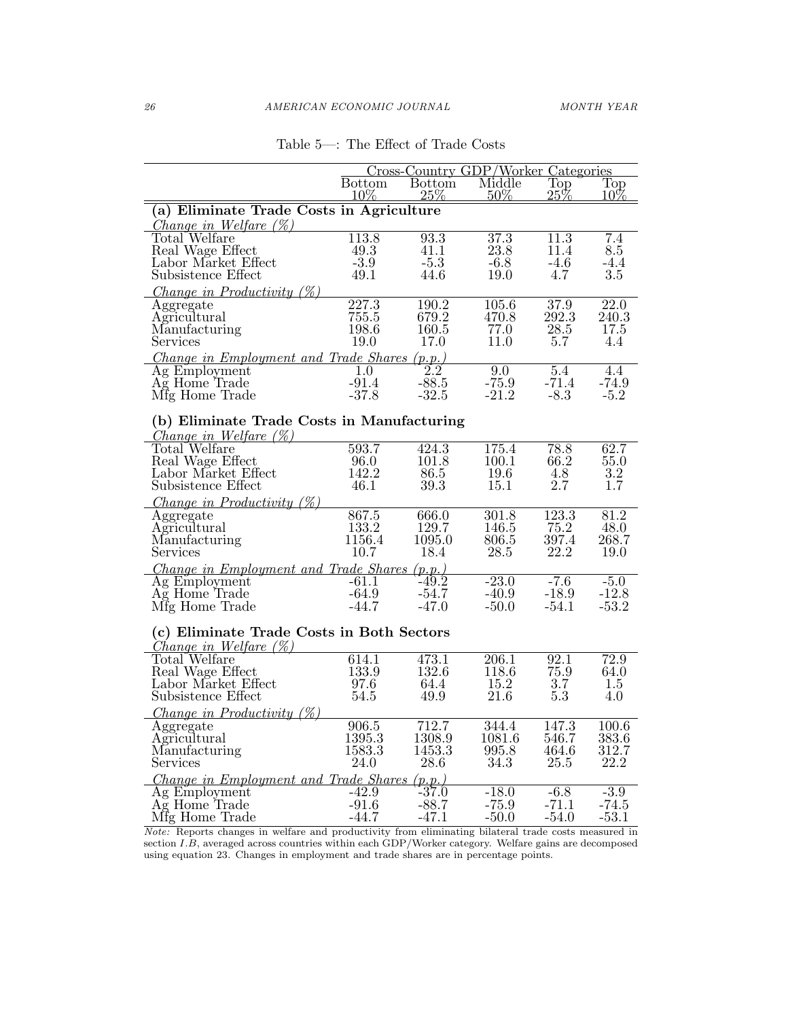|                                                                                                       | Cross-Country GDP/Worker Categories |                         |                  |                                   |               |  |  |
|-------------------------------------------------------------------------------------------------------|-------------------------------------|-------------------------|------------------|-----------------------------------|---------------|--|--|
|                                                                                                       | <b>Bottom</b><br>$10\%$             | <b>Bottom</b><br>$25\%$ | Middle<br>$50\%$ | $\overline{\text{Top}}$<br>$25\%$ | Top<br>$10\%$ |  |  |
| (a) Eliminate Trade Costs in Agriculture                                                              |                                     |                         |                  |                                   |               |  |  |
| <i>Change in Welfare</i> $(\%)$                                                                       |                                     |                         |                  |                                   |               |  |  |
| Total Welfare                                                                                         | 113.8                               | 93.3                    | 37.3             | 11.3                              | 7.4           |  |  |
| Real Wage Effect                                                                                      | 49.3                                | 41.1                    | 23.8             | 11.4                              | 8.5           |  |  |
| Labor Market Effect                                                                                   | $-3.9$                              | $-5.3$                  | $-6.8$           | -4.6                              | -4.4          |  |  |
| Subsistence Effect                                                                                    | 49.1                                | 44.6                    | 19.0             | 4.7                               | $3.5\,$       |  |  |
| <i>Change in Productivity <math>(\%)</math></i>                                                       |                                     |                         |                  |                                   |               |  |  |
| Aggregate                                                                                             | $\overline{227.3}$                  | 190.2                   | 105.6            | 37.9                              | 22.0          |  |  |
| Agricultural                                                                                          | 755.5                               | 679.2                   | 470.8            | 292.3                             | 240.3         |  |  |
| Manufacturing                                                                                         | 198.6                               | 160.5                   | 77.0             | $28.5\,$                          | 17.5          |  |  |
| Services                                                                                              | 19.0                                | 17.0                    | 11.0             | 5.7                               | 4.4           |  |  |
| Change in Employment and Trade Shares (p.p.)                                                          |                                     |                         |                  |                                   |               |  |  |
| Ag Employment                                                                                         | 1.0                                 | $\overline{2.2}$        | 9.0              | 5.4                               | 4.4           |  |  |
| Ag Home Trade                                                                                         | $-91.4$                             | $-88.5$                 | $-75.9$          | -71.4                             | $-74.9$       |  |  |
| Mfg Home Trade                                                                                        | $-37.8$                             | $-32.5$                 | $-21.2$          | $-8.3$                            | $-5.2$        |  |  |
| (b) Eliminate Trade Costs in Manufacturing                                                            |                                     |                         |                  |                                   |               |  |  |
| <i>Change in Welfare</i> $(\%)$                                                                       |                                     |                         |                  |                                   |               |  |  |
| Total Welfare                                                                                         | $\overline{593.7}$                  | 424.3                   | 175.4            | 78.8                              | 62.7          |  |  |
| Real Wage Effect                                                                                      | 96.0                                | 101.8                   | 100.1            | 66.2                              | 55.0          |  |  |
| Labor Market Effect                                                                                   | 142.2                               | 86.5                    | 19.6             | 4.8                               | 3.2           |  |  |
| Subsistence Effect                                                                                    | 46.1                                | 39.3                    | 15.1             | 2.7                               | 1.7           |  |  |
| Change in Productivity $(\%)$                                                                         |                                     |                         |                  |                                   |               |  |  |
| Aggregate                                                                                             | 867.5                               | 666.0                   | 301.8            | 123.3                             | 81.2          |  |  |
| Agricultural                                                                                          | 133.2                               | 129.7                   | 146.5            | 75.2                              | 48.0          |  |  |
| Manufacturing                                                                                         | 1156.4                              | 1095.0                  | 806.5            | 397.4                             | 268.7         |  |  |
| Services                                                                                              | 10.7                                | 18.4                    | 28.5             | 22.2                              | 19.0          |  |  |
| Change in Employment and Trade Shares (p.p.)                                                          |                                     |                         |                  |                                   |               |  |  |
| Ag Employment                                                                                         | $-61.1$                             | $-49.2$                 | $-23.0$          | $-7.6$                            | $-5.0$        |  |  |
| Ag Home Trade                                                                                         | $-64.9$                             | $-54.7$                 | $-40.9$          | $-18.9$                           | $-12.8$       |  |  |
| Mfg Home Trade                                                                                        | $-44.7$                             | $-47.0$                 | $-50.0$          | $-54.1$                           | $-53.2$       |  |  |
| (c) Eliminate Trade Costs in Both Sectors                                                             |                                     |                         |                  |                                   |               |  |  |
| <i>Change in Welfare</i> $(\%)$                                                                       |                                     |                         |                  |                                   |               |  |  |
| Total Welfare                                                                                         | 614.1                               | 473.1                   | 206.1            | 92.1                              | 72.9          |  |  |
| Real Wage Effect                                                                                      | 133.9                               | 132.6                   | 118.6            | 75.9                              | 64.0          |  |  |
| Labor Market Effect                                                                                   | 97.6                                | 64.4                    | 15.2             | 3.7                               | 1.5           |  |  |
| Subsistence Effect                                                                                    | 54.5                                | 49.9                    | 21.6             | 5.3                               | 4.0           |  |  |
| <i>Change in Productivity <math>(\%)</math></i>                                                       |                                     |                         |                  |                                   |               |  |  |
| Aggregate                                                                                             | 906.5                               | 712.7                   | 344.4            | 147.3                             | 100.6         |  |  |
| Agricultural                                                                                          | 1395.3                              | 1308.9                  | 1081.6           | 546.7                             | 383.6         |  |  |
| Manufacturing                                                                                         | 1583.3                              | 1453.3                  | 995.8            | 464.6                             | 312.7         |  |  |
| Services                                                                                              | 24.0                                | 28.6                    | 34.3             | 25.5                              | 22.2          |  |  |
| Change in Employment and Trade Shares (p.p.)                                                          |                                     |                         |                  |                                   |               |  |  |
| Ag Employment                                                                                         | $-42.9$                             | $-37.0$                 | $-18.0$          | $-6.8$                            | $-3.9$        |  |  |
| Ag Home Trade                                                                                         | $-91.6$                             | -88.7                   | $-75.9$          | -71.1                             | -74.5         |  |  |
| Mfg Home Trade                                                                                        | $-44.7$                             | $-47.1$                 | $-50.0$          | $-54.0$                           | -53.1         |  |  |
| Nets. Beneate ekonomic in sulfano and nuoduotisity from climination kilotonel trade peate moograad in |                                     |                         |                  |                                   |               |  |  |

# Table 5—: The Effect of Trade Costs

Note: Reports changes in welfare and productivity from eliminating bilateral trade costs measured in section I.B, averaged across countries within each GDP/Worker category. Welfare gains are decomposed using equation 23. Changes in employment and trade shares are in percentage points.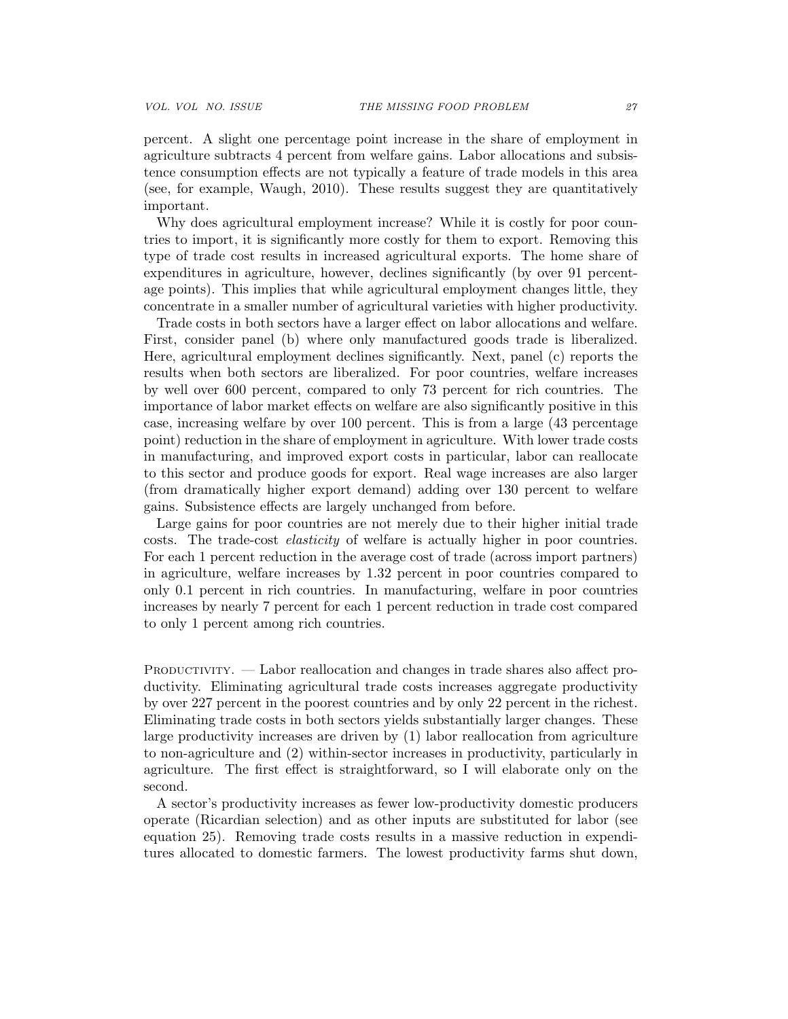percent. A slight one percentage point increase in the share of employment in agriculture subtracts 4 percent from welfare gains. Labor allocations and subsistence consumption effects are not typically a feature of trade models in this area (see, for example, Waugh, 2010). These results suggest they are quantitatively important.

Why does agricultural employment increase? While it is costly for poor countries to import, it is significantly more costly for them to export. Removing this type of trade cost results in increased agricultural exports. The home share of expenditures in agriculture, however, declines significantly (by over 91 percentage points). This implies that while agricultural employment changes little, they concentrate in a smaller number of agricultural varieties with higher productivity.

Trade costs in both sectors have a larger effect on labor allocations and welfare. First, consider panel (b) where only manufactured goods trade is liberalized. Here, agricultural employment declines significantly. Next, panel (c) reports the results when both sectors are liberalized. For poor countries, welfare increases by well over 600 percent, compared to only 73 percent for rich countries. The importance of labor market effects on welfare are also significantly positive in this case, increasing welfare by over 100 percent. This is from a large (43 percentage point) reduction in the share of employment in agriculture. With lower trade costs in manufacturing, and improved export costs in particular, labor can reallocate to this sector and produce goods for export. Real wage increases are also larger (from dramatically higher export demand) adding over 130 percent to welfare gains. Subsistence effects are largely unchanged from before.

Large gains for poor countries are not merely due to their higher initial trade costs. The trade-cost elasticity of welfare is actually higher in poor countries. For each 1 percent reduction in the average cost of trade (across import partners) in agriculture, welfare increases by 1.32 percent in poor countries compared to only 0.1 percent in rich countries. In manufacturing, welfare in poor countries increases by nearly 7 percent for each 1 percent reduction in trade cost compared to only 1 percent among rich countries.

PRODUCTIVITY. — Labor reallocation and changes in trade shares also affect productivity. Eliminating agricultural trade costs increases aggregate productivity by over 227 percent in the poorest countries and by only 22 percent in the richest. Eliminating trade costs in both sectors yields substantially larger changes. These large productivity increases are driven by (1) labor reallocation from agriculture to non-agriculture and (2) within-sector increases in productivity, particularly in agriculture. The first effect is straightforward, so I will elaborate only on the second.

A sector's productivity increases as fewer low-productivity domestic producers operate (Ricardian selection) and as other inputs are substituted for labor (see equation 25). Removing trade costs results in a massive reduction in expenditures allocated to domestic farmers. The lowest productivity farms shut down,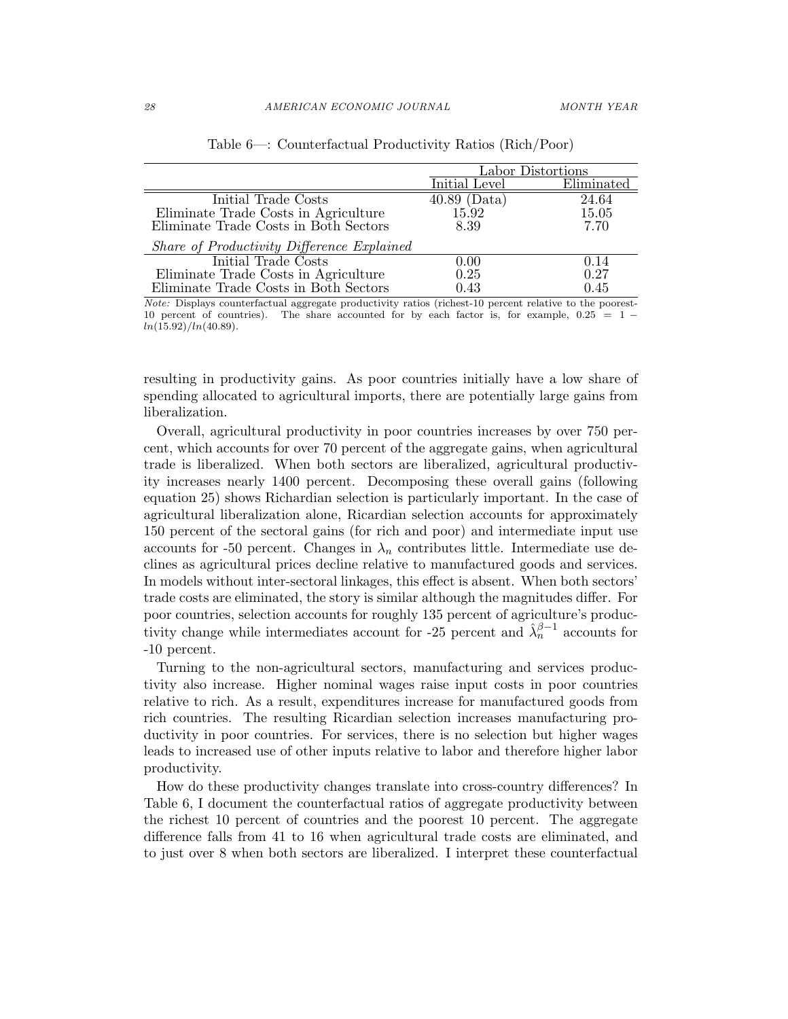|                                            | Labor Distortions |            |  |
|--------------------------------------------|-------------------|------------|--|
|                                            | Initial Level     | Eliminated |  |
| Initial Trade Costs                        | $40.89$ (Data)    | 24.64      |  |
| Eliminate Trade Costs in Agriculture       | 15.92             | 15.05      |  |
| Eliminate Trade Costs in Both Sectors      | 8.39              | 7.70       |  |
| Share of Productivity Difference Explained |                   |            |  |
| Initial Trade Costs                        | 0.00              | 0.14       |  |
| Eliminate Trade Costs in Agriculture       | 0.25              | 0.27       |  |
| Eliminate Trade Costs in Both Sectors      | 0.43              | 0.45       |  |

|  | Table $6-$ : Counterfactual Productivity Ratios (Rich/Poor) |  |  |  |  |  |
|--|-------------------------------------------------------------|--|--|--|--|--|
|--|-------------------------------------------------------------|--|--|--|--|--|

Note: Displays counterfactual aggregate productivity ratios (richest-10 percent relative to the poorest-10 percent of countries). The share accounted for by each factor is, for example,  $0.25 = 1$  $ln(15.92)/ln(40.89)$ .

resulting in productivity gains. As poor countries initially have a low share of spending allocated to agricultural imports, there are potentially large gains from liberalization.

Overall, agricultural productivity in poor countries increases by over 750 percent, which accounts for over 70 percent of the aggregate gains, when agricultural trade is liberalized. When both sectors are liberalized, agricultural productivity increases nearly 1400 percent. Decomposing these overall gains (following equation 25) shows Richardian selection is particularly important. In the case of agricultural liberalization alone, Ricardian selection accounts for approximately 150 percent of the sectoral gains (for rich and poor) and intermediate input use accounts for -50 percent. Changes in  $\lambda_n$  contributes little. Intermediate use declines as agricultural prices decline relative to manufactured goods and services. In models without inter-sectoral linkages, this effect is absent. When both sectors' trade costs are eliminated, the story is similar although the magnitudes differ. For poor countries, selection accounts for roughly 135 percent of agriculture's productivity change while intermediates account for -25 percent and  $\hat{\lambda}_n^{\beta-1}$  accounts for -10 percent.

Turning to the non-agricultural sectors, manufacturing and services productivity also increase. Higher nominal wages raise input costs in poor countries relative to rich. As a result, expenditures increase for manufactured goods from rich countries. The resulting Ricardian selection increases manufacturing productivity in poor countries. For services, there is no selection but higher wages leads to increased use of other inputs relative to labor and therefore higher labor productivity.

How do these productivity changes translate into cross-country differences? In Table 6, I document the counterfactual ratios of aggregate productivity between the richest 10 percent of countries and the poorest 10 percent. The aggregate difference falls from 41 to 16 when agricultural trade costs are eliminated, and to just over 8 when both sectors are liberalized. I interpret these counterfactual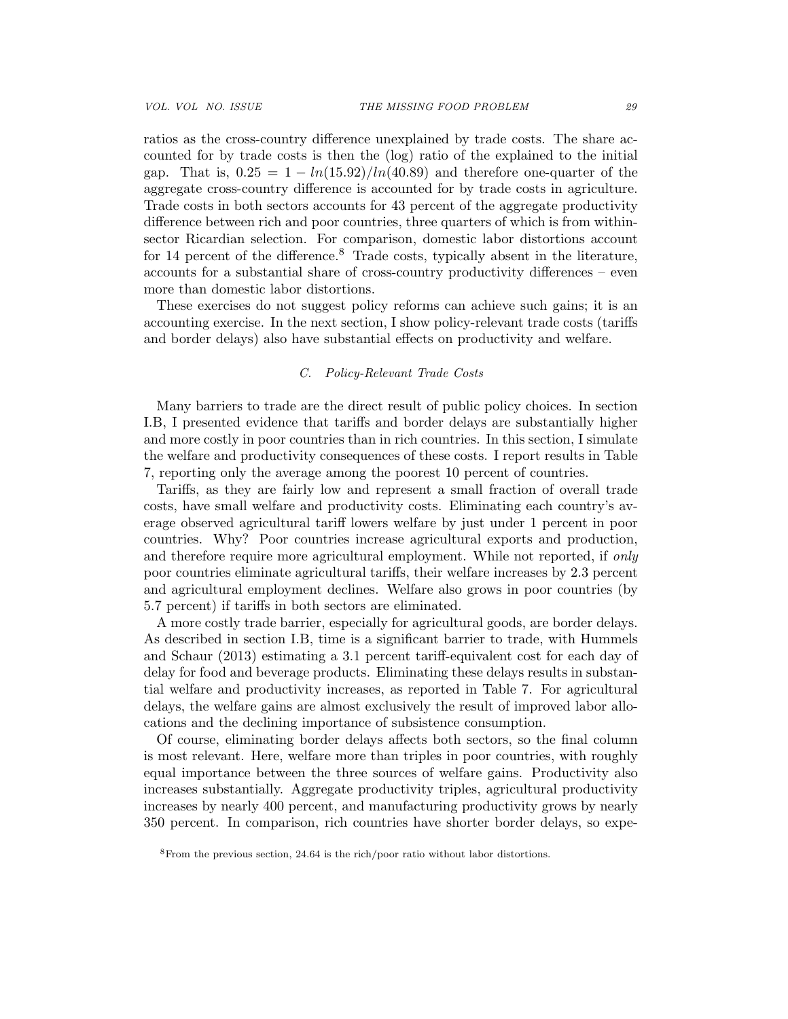ratios as the cross-country difference unexplained by trade costs. The share accounted for by trade costs is then the (log) ratio of the explained to the initial gap. That is,  $0.25 = 1 - ln(15.92)/ln(40.89)$  and therefore one-quarter of the aggregate cross-country difference is accounted for by trade costs in agriculture. Trade costs in both sectors accounts for 43 percent of the aggregate productivity difference between rich and poor countries, three quarters of which is from withinsector Ricardian selection. For comparison, domestic labor distortions account for 14 percent of the difference.<sup>8</sup> Trade costs, typically absent in the literature, accounts for a substantial share of cross-country productivity differences – even more than domestic labor distortions.

These exercises do not suggest policy reforms can achieve such gains; it is an accounting exercise. In the next section, I show policy-relevant trade costs (tariffs and border delays) also have substantial effects on productivity and welfare.

### C. Policy-Relevant Trade Costs

Many barriers to trade are the direct result of public policy choices. In section I.B, I presented evidence that tariffs and border delays are substantially higher and more costly in poor countries than in rich countries. In this section, I simulate the welfare and productivity consequences of these costs. I report results in Table 7, reporting only the average among the poorest 10 percent of countries.

Tariffs, as they are fairly low and represent a small fraction of overall trade costs, have small welfare and productivity costs. Eliminating each country's average observed agricultural tariff lowers welfare by just under 1 percent in poor countries. Why? Poor countries increase agricultural exports and production, and therefore require more agricultural employment. While not reported, if only poor countries eliminate agricultural tariffs, their welfare increases by 2.3 percent and agricultural employment declines. Welfare also grows in poor countries (by 5.7 percent) if tariffs in both sectors are eliminated.

A more costly trade barrier, especially for agricultural goods, are border delays. As described in section I.B, time is a significant barrier to trade, with Hummels and Schaur (2013) estimating a 3.1 percent tariff-equivalent cost for each day of delay for food and beverage products. Eliminating these delays results in substantial welfare and productivity increases, as reported in Table 7. For agricultural delays, the welfare gains are almost exclusively the result of improved labor allocations and the declining importance of subsistence consumption.

Of course, eliminating border delays affects both sectors, so the final column is most relevant. Here, welfare more than triples in poor countries, with roughly equal importance between the three sources of welfare gains. Productivity also increases substantially. Aggregate productivity triples, agricultural productivity increases by nearly 400 percent, and manufacturing productivity grows by nearly 350 percent. In comparison, rich countries have shorter border delays, so expe-

<sup>8</sup>From the previous section, 24.64 is the rich/poor ratio without labor distortions.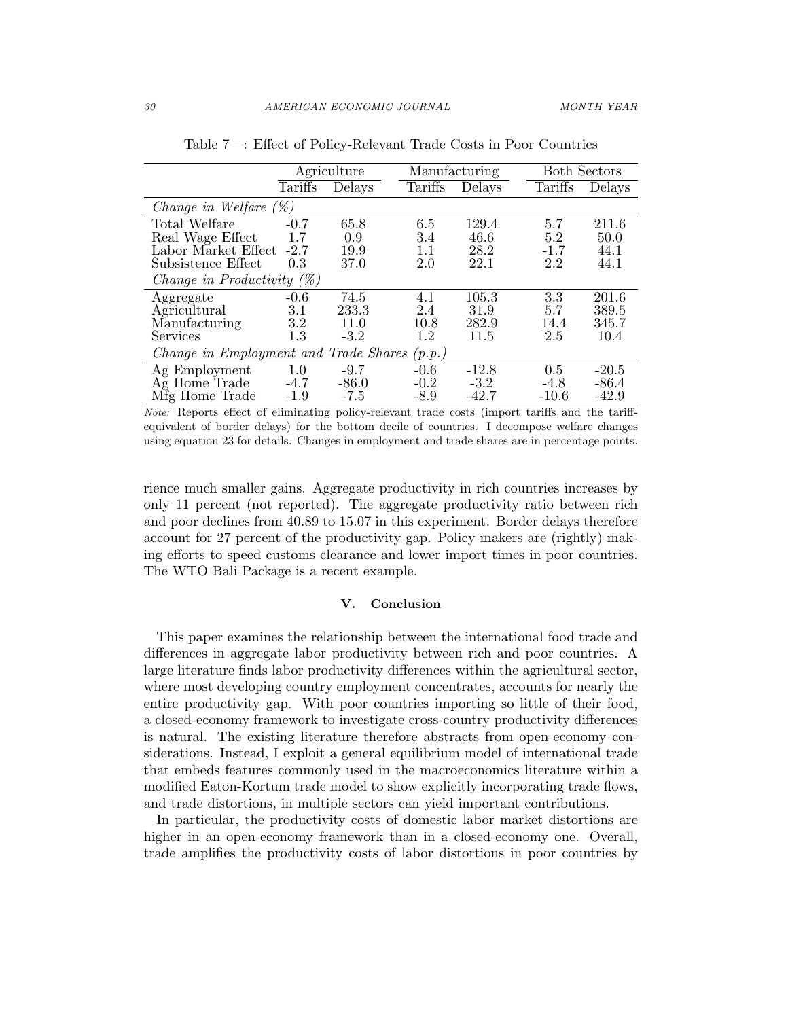|                                              |         | Agriculture | Manufacturing |         |         | <b>Both Sectors</b> |
|----------------------------------------------|---------|-------------|---------------|---------|---------|---------------------|
|                                              | Tariffs | Delays      | Tariffs       | Delays  | Tariffs | Delays              |
| Change in Welfare $(\%)$                     |         |             |               |         |         |                     |
| Total Welfare                                | $-0.7$  | 65.8        | 6.5           | 129.4   | 5.7     | 211.6               |
| Real Wage Effect                             | 1.7     | 0.9         | 3.4           | 46.6    | 5.2     | 50.0                |
| Labor Market Effect                          | $-2.7$  | 19.9        | 1.1           | 28.2    | $-1.7$  | 44.1                |
| Subsistence Effect                           | 0.3     | 37.0        | 2.0           | 22.1    | 2.2     | 44.1                |
| Change in Productivity $(\%)$                |         |             |               |         |         |                     |
| Aggregate                                    | $-0.6$  | 74.5        | 4.1           | 105.3   | 3.3     | 201.6               |
| Agricultural                                 | 3.1     | 233.3       | 2.4           | 31.9    | 5.7     | 389.5               |
| Manufacturing                                | 3.2     | 11.0        | 10.8          | 282.9   | 14.4    | 345.7               |
| Services                                     | 1.3     | $-3.2$      | 1.2           | 11.5    | 2.5     | 10.4                |
| Change in Employment and Trade Shares (p.p.) |         |             |               |         |         |                     |
| Ag Employment                                | 1.0     | $-9.7$      | $-0.6$        | $-12.8$ | 0.5     | $-20.5$             |
| Ag Home Trade                                | $-4.7$  | $-86.0$     | $-0.2$        | $-3.2$  | $-4.8$  | $-86.4$             |
| Mfg Home Trade                               | $-1.9$  | $-7.5$      | $-8.9$        | $-42.7$ | $-10.6$ | $-42.9$             |

Table 7—: Effect of Policy-Relevant Trade Costs in Poor Countries

Note: Reports effect of eliminating policy-relevant trade costs (import tariffs and the tariffequivalent of border delays) for the bottom decile of countries. I decompose welfare changes using equation 23 for details. Changes in employment and trade shares are in percentage points.

rience much smaller gains. Aggregate productivity in rich countries increases by only 11 percent (not reported). The aggregate productivity ratio between rich and poor declines from 40.89 to 15.07 in this experiment. Border delays therefore account for 27 percent of the productivity gap. Policy makers are (rightly) making efforts to speed customs clearance and lower import times in poor countries. The WTO Bali Package is a recent example.

#### V. Conclusion

This paper examines the relationship between the international food trade and differences in aggregate labor productivity between rich and poor countries. A large literature finds labor productivity differences within the agricultural sector, where most developing country employment concentrates, accounts for nearly the entire productivity gap. With poor countries importing so little of their food, a closed-economy framework to investigate cross-country productivity differences is natural. The existing literature therefore abstracts from open-economy considerations. Instead, I exploit a general equilibrium model of international trade that embeds features commonly used in the macroeconomics literature within a modified Eaton-Kortum trade model to show explicitly incorporating trade flows, and trade distortions, in multiple sectors can yield important contributions.

In particular, the productivity costs of domestic labor market distortions are higher in an open-economy framework than in a closed-economy one. Overall, trade amplifies the productivity costs of labor distortions in poor countries by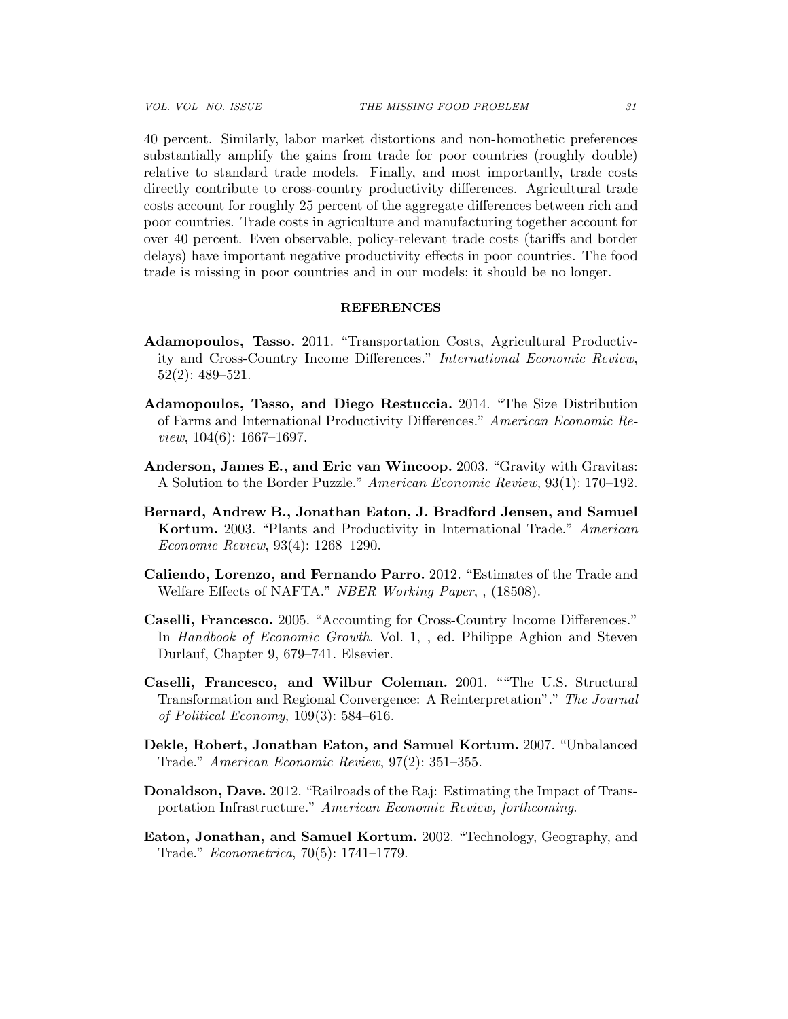40 percent. Similarly, labor market distortions and non-homothetic preferences substantially amplify the gains from trade for poor countries (roughly double) relative to standard trade models. Finally, and most importantly, trade costs directly contribute to cross-country productivity differences. Agricultural trade costs account for roughly 25 percent of the aggregate differences between rich and poor countries. Trade costs in agriculture and manufacturing together account for over 40 percent. Even observable, policy-relevant trade costs (tariffs and border delays) have important negative productivity effects in poor countries. The food trade is missing in poor countries and in our models; it should be no longer.

### REFERENCES

- Adamopoulos, Tasso. 2011. "Transportation Costs, Agricultural Productivity and Cross-Country Income Differences." International Economic Review, 52(2): 489–521.
- Adamopoulos, Tasso, and Diego Restuccia. 2014. "The Size Distribution of Farms and International Productivity Differences." American Economic Re*view*,  $104(6)$ :  $1667-1697$ .
- Anderson, James E., and Eric van Wincoop. 2003. "Gravity with Gravitas: A Solution to the Border Puzzle." American Economic Review, 93(1): 170–192.
- Bernard, Andrew B., Jonathan Eaton, J. Bradford Jensen, and Samuel Kortum. 2003. "Plants and Productivity in International Trade." American Economic Review, 93(4): 1268–1290.
- Caliendo, Lorenzo, and Fernando Parro. 2012. "Estimates of the Trade and Welfare Effects of NAFTA." NBER Working Paper, , (18508).
- Caselli, Francesco. 2005. "Accounting for Cross-Country Income Differences." In Handbook of Economic Growth. Vol. 1, , ed. Philippe Aghion and Steven Durlauf, Chapter 9, 679–741. Elsevier.
- Caselli, Francesco, and Wilbur Coleman. 2001. ""The U.S. Structural Transformation and Regional Convergence: A Reinterpretation"." The Journal of Political Economy, 109(3): 584–616.
- Dekle, Robert, Jonathan Eaton, and Samuel Kortum. 2007. "Unbalanced Trade." American Economic Review, 97(2): 351–355.
- Donaldson, Dave. 2012. "Railroads of the Raj: Estimating the Impact of Transportation Infrastructure." American Economic Review, forthcoming.
- Eaton, Jonathan, and Samuel Kortum. 2002. "Technology, Geography, and Trade." Econometrica, 70(5): 1741–1779.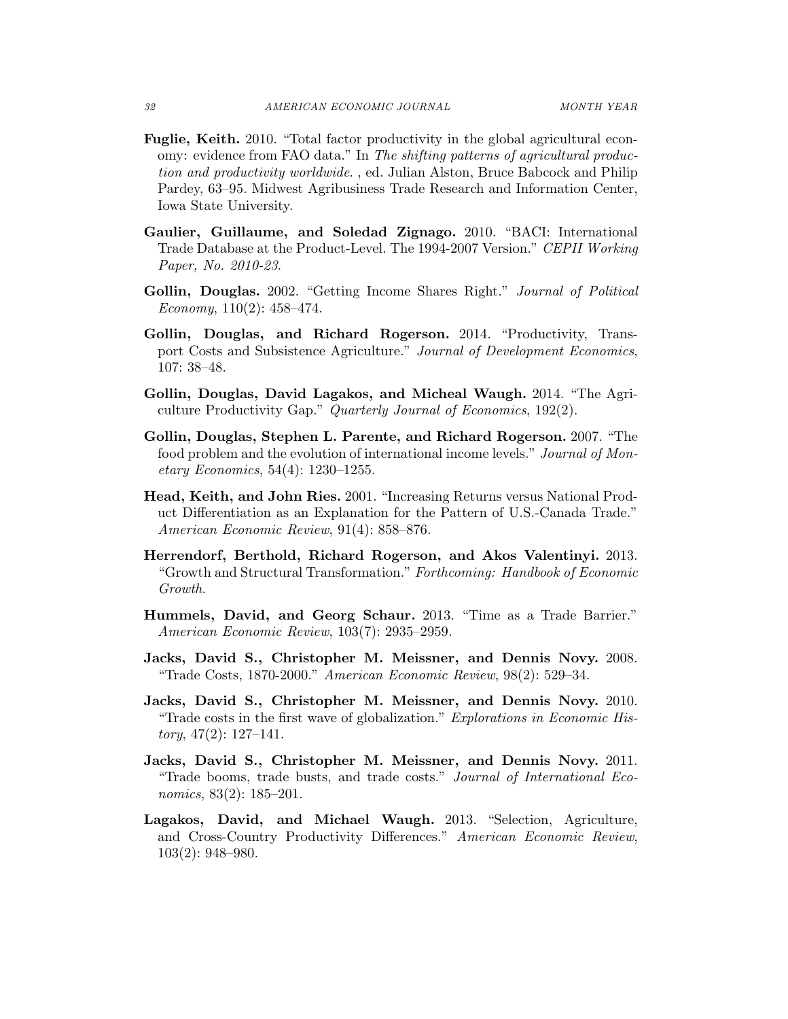- Fuglie, Keith. 2010. "Total factor productivity in the global agricultural economy: evidence from FAO data." In The shifting patterns of agricultural production and productivity worldwide. , ed. Julian Alston, Bruce Babcock and Philip Pardey, 63–95. Midwest Agribusiness Trade Research and Information Center, Iowa State University.
- Gaulier, Guillaume, and Soledad Zignago. 2010. "BACI: International Trade Database at the Product-Level. The 1994-2007 Version." CEPII Working Paper, No. 2010-23.
- Gollin, Douglas. 2002. "Getting Income Shares Right." Journal of Political Economy,  $110(2)$ :  $458-474$ .
- Gollin, Douglas, and Richard Rogerson. 2014. "Productivity, Transport Costs and Subsistence Agriculture." Journal of Development Economics, 107: 38–48.
- Gollin, Douglas, David Lagakos, and Micheal Waugh. 2014. "The Agriculture Productivity Gap." Quarterly Journal of Economics, 192(2).
- Gollin, Douglas, Stephen L. Parente, and Richard Rogerson. 2007. "The food problem and the evolution of international income levels." Journal of Monetary Economics, 54(4): 1230–1255.
- Head, Keith, and John Ries. 2001. "Increasing Returns versus National Product Differentiation as an Explanation for the Pattern of U.S.-Canada Trade." American Economic Review, 91(4): 858–876.
- Herrendorf, Berthold, Richard Rogerson, and Akos Valentinyi. 2013. "Growth and Structural Transformation." Forthcoming: Handbook of Economic Growth.
- Hummels, David, and Georg Schaur. 2013. "Time as a Trade Barrier." American Economic Review, 103(7): 2935–2959.
- Jacks, David S., Christopher M. Meissner, and Dennis Novy. 2008. "Trade Costs, 1870-2000." American Economic Review, 98(2): 529–34.
- Jacks, David S., Christopher M. Meissner, and Dennis Novy. 2010. "Trade costs in the first wave of globalization." Explorations in Economic His $tory, 47(2): 127–141.$
- Jacks, David S., Christopher M. Meissner, and Dennis Novy. 2011. "Trade booms, trade busts, and trade costs." Journal of International Economics, 83(2): 185–201.
- Lagakos, David, and Michael Waugh. 2013. "Selection, Agriculture, and Cross-Country Productivity Differences." American Economic Review, 103(2): 948–980.